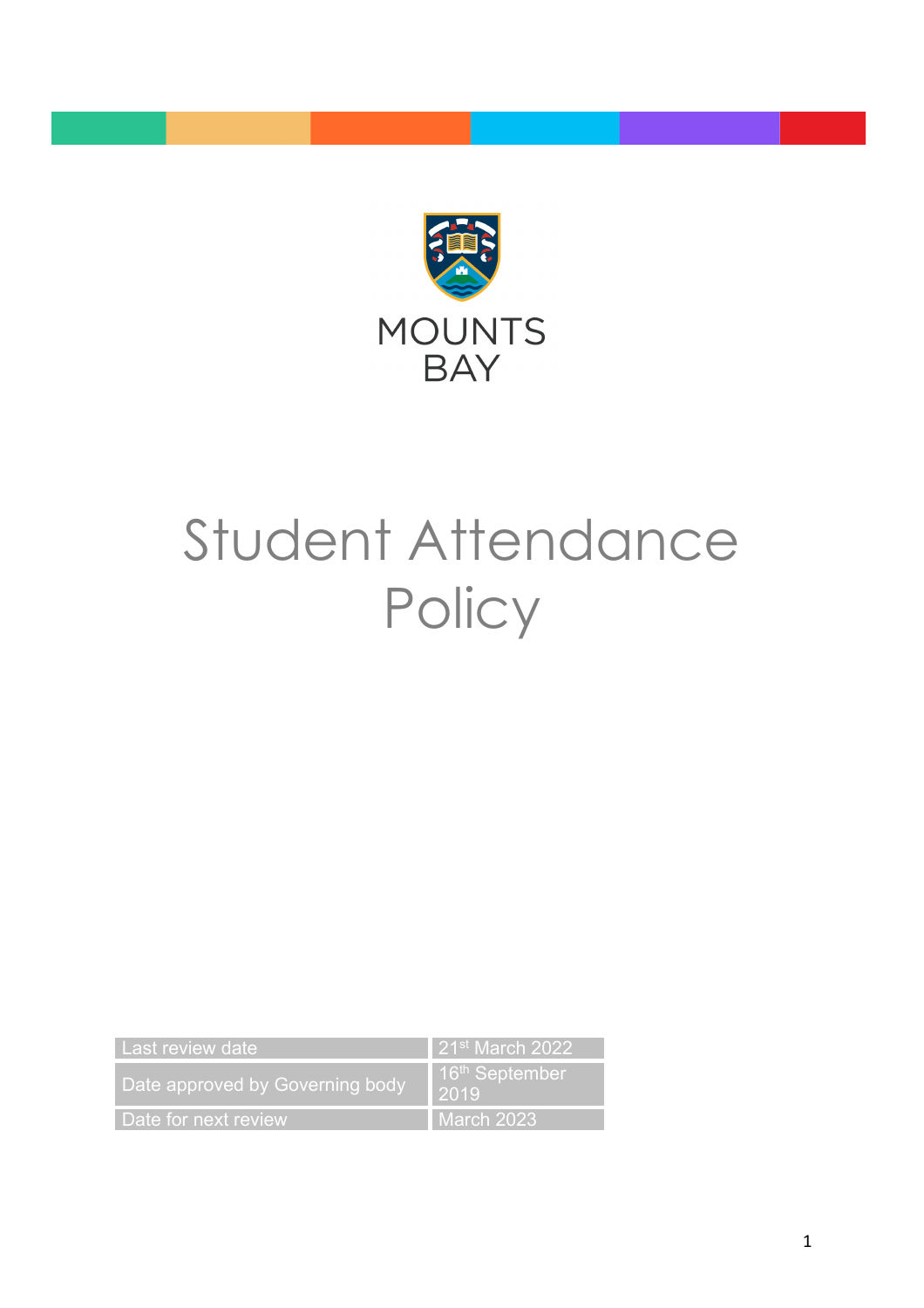

# Student Attendance **Policy**

| Last review date                | $\parallel$ 21 <sup>st</sup> March 2022 |
|---------------------------------|-----------------------------------------|
| Date approved by Governing body | 16 <sup>th</sup> September<br>2019      |
| Date for next review            | l March 2023                            |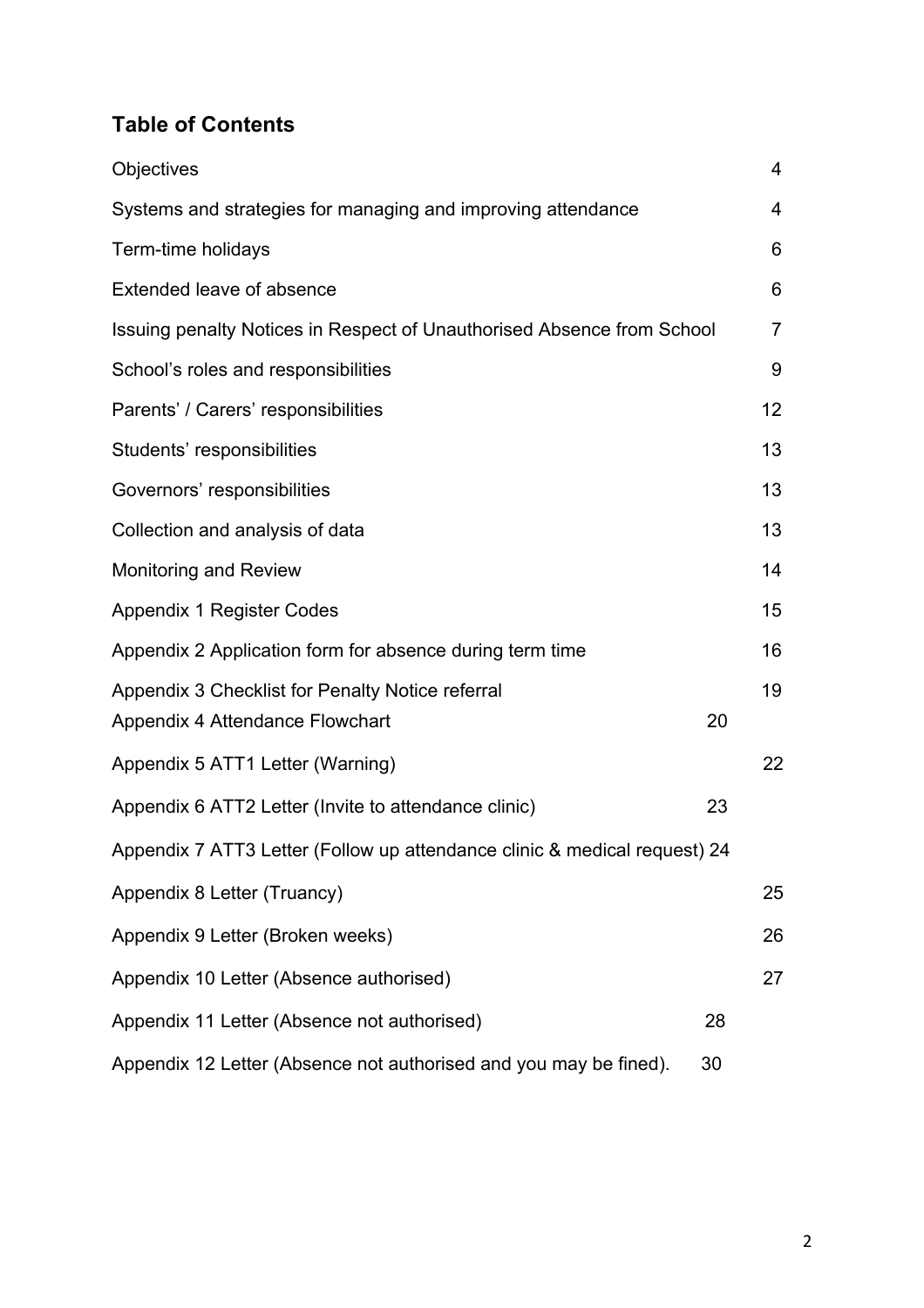# **Table of Contents**

| Objectives                                                                |    | $\overline{4}$  |
|---------------------------------------------------------------------------|----|-----------------|
| Systems and strategies for managing and improving attendance              |    | 4               |
| Term-time holidays                                                        |    | 6               |
| Extended leave of absence                                                 |    | 6               |
| Issuing penalty Notices in Respect of Unauthorised Absence from School    |    | $\overline{7}$  |
| School's roles and responsibilities                                       |    | 9               |
| Parents' / Carers' responsibilities                                       |    | 12 <sub>2</sub> |
| Students' responsibilities                                                |    | 13              |
| Governors' responsibilities                                               |    | 13              |
| Collection and analysis of data                                           |    | 13              |
| <b>Monitoring and Review</b>                                              |    | 14              |
| <b>Appendix 1 Register Codes</b>                                          |    | 15              |
| Appendix 2 Application form for absence during term time                  |    | 16              |
| Appendix 3 Checklist for Penalty Notice referral                          |    | 19              |
| Appendix 4 Attendance Flowchart                                           | 20 |                 |
| Appendix 5 ATT1 Letter (Warning)                                          |    | 22              |
| Appendix 6 ATT2 Letter (Invite to attendance clinic)                      | 23 |                 |
| Appendix 7 ATT3 Letter (Follow up attendance clinic & medical request) 24 |    |                 |
| Appendix 8 Letter (Truancy)                                               |    | 25              |
| Appendix 9 Letter (Broken weeks)                                          |    | 26              |
| Appendix 10 Letter (Absence authorised)                                   |    | 27              |
| Appendix 11 Letter (Absence not authorised)                               | 28 |                 |
| Appendix 12 Letter (Absence not authorised and you may be fined).         | 30 |                 |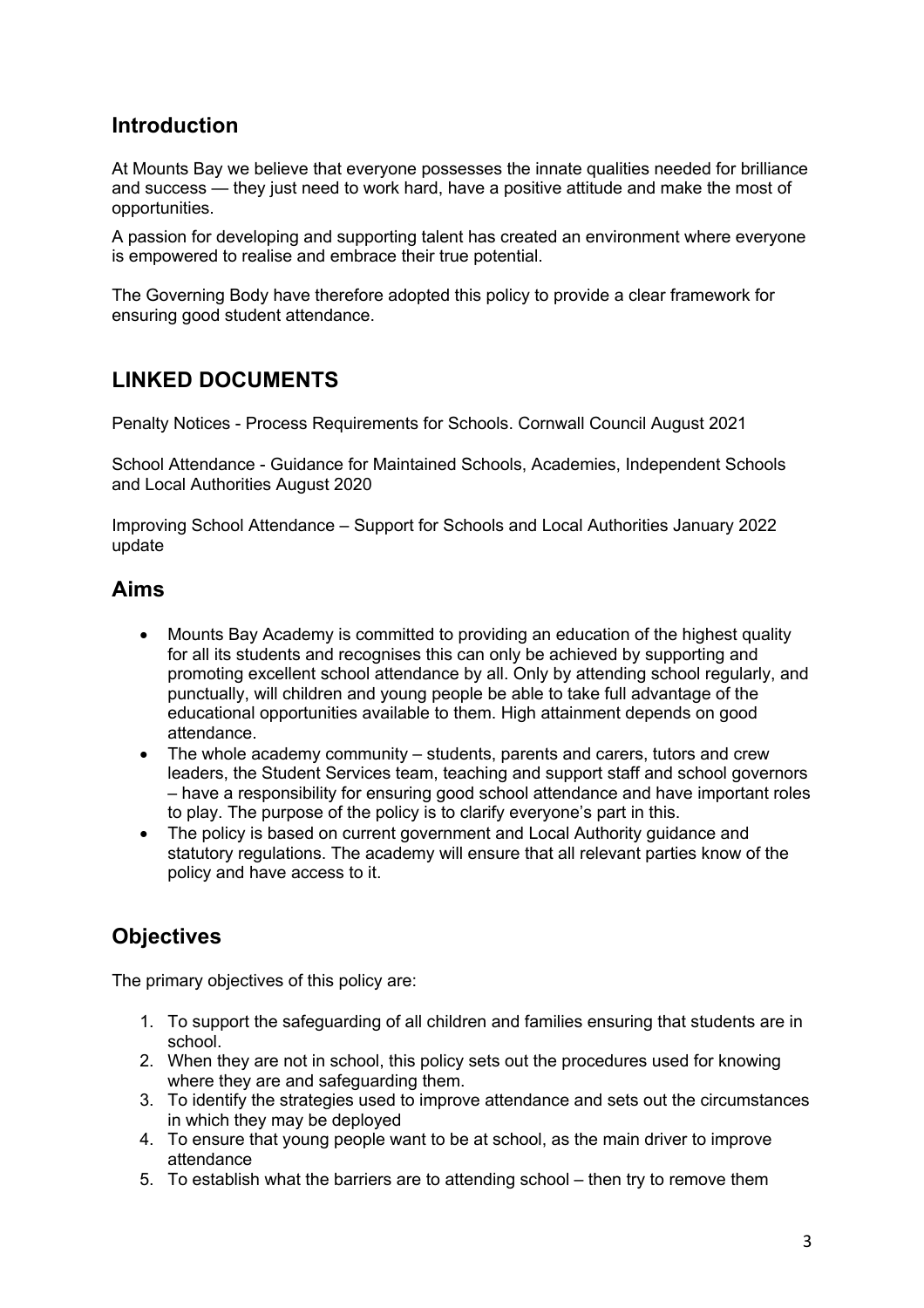# **Introduction**

At Mounts Bay we believe that everyone possesses the innate qualities needed for brilliance and success — they just need to work hard, have a positive attitude and make the most of opportunities.

A passion for developing and supporting talent has created an environment where everyone is empowered to realise and embrace their true potential.

The Governing Body have therefore adopted this policy to provide a clear framework for ensuring good student attendance.

# **LINKED DOCUMENTS**

Penalty Notices - Process Requirements for Schools. Cornwall Council August 2021

School Attendance - Guidance for Maintained Schools, Academies, Independent Schools and Local Authorities August 2020

Improving School Attendance – Support for Schools and Local Authorities January 2022 update

# **Aims**

- Mounts Bay Academy is committed to providing an education of the highest quality for all its students and recognises this can only be achieved by supporting and promoting excellent school attendance by all. Only by attending school regularly, and punctually, will children and young people be able to take full advantage of the educational opportunities available to them. High attainment depends on good attendance.
- The whole academy community students, parents and carers, tutors and crew leaders, the Student Services team, teaching and support staff and school governors – have a responsibility for ensuring good school attendance and have important roles to play. The purpose of the policy is to clarify everyone's part in this.
- The policy is based on current government and Local Authority guidance and statutory regulations. The academy will ensure that all relevant parties know of the policy and have access to it.

# **Objectives**

The primary objectives of this policy are:

- 1. To support the safeguarding of all children and families ensuring that students are in school.
- 2. When they are not in school, this policy sets out the procedures used for knowing where they are and safeguarding them.
- 3. To identify the strategies used to improve attendance and sets out the circumstances in which they may be deployed
- 4. To ensure that young people want to be at school, as the main driver to improve attendance
- 5. To establish what the barriers are to attending school then try to remove them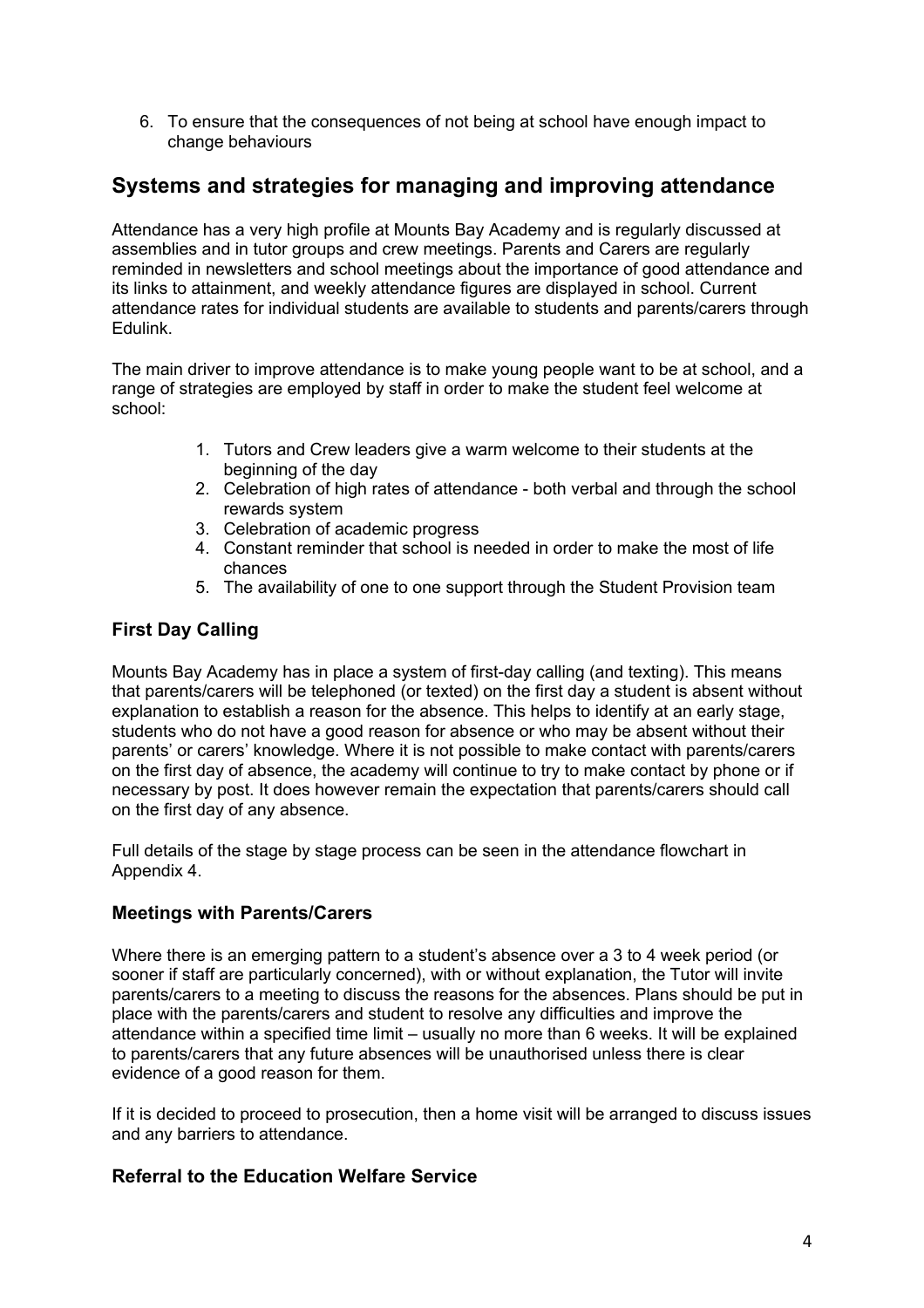6. To ensure that the consequences of not being at school have enough impact to change behaviours

# **Systems and strategies for managing and improving attendance**

Attendance has a very high profile at Mounts Bay Academy and is regularly discussed at assemblies and in tutor groups and crew meetings. Parents and Carers are regularly reminded in newsletters and school meetings about the importance of good attendance and its links to attainment, and weekly attendance figures are displayed in school. Current attendance rates for individual students are available to students and parents/carers through Edulink.

The main driver to improve attendance is to make young people want to be at school, and a range of strategies are employed by staff in order to make the student feel welcome at school:

- 1. Tutors and Crew leaders give a warm welcome to their students at the beginning of the day
- 2. Celebration of high rates of attendance both verbal and through the school rewards system
- 3. Celebration of academic progress
- 4. Constant reminder that school is needed in order to make the most of life chances
- 5. The availability of one to one support through the Student Provision team

# **First Day Calling**

Mounts Bay Academy has in place a system of first-day calling (and texting). This means that parents/carers will be telephoned (or texted) on the first day a student is absent without explanation to establish a reason for the absence. This helps to identify at an early stage, students who do not have a good reason for absence or who may be absent without their parents' or carers' knowledge. Where it is not possible to make contact with parents/carers on the first day of absence, the academy will continue to try to make contact by phone or if necessary by post. It does however remain the expectation that parents/carers should call on the first day of any absence.

Full details of the stage by stage process can be seen in the attendance flowchart in Appendix 4.

#### **Meetings with Parents/Carers**

Where there is an emerging pattern to a student's absence over a 3 to 4 week period (or sooner if staff are particularly concerned), with or without explanation, the Tutor will invite parents/carers to a meeting to discuss the reasons for the absences. Plans should be put in place with the parents/carers and student to resolve any difficulties and improve the attendance within a specified time limit – usually no more than 6 weeks. It will be explained to parents/carers that any future absences will be unauthorised unless there is clear evidence of a good reason for them.

If it is decided to proceed to prosecution, then a home visit will be arranged to discuss issues and any barriers to attendance.

#### **Referral to the Education Welfare Service**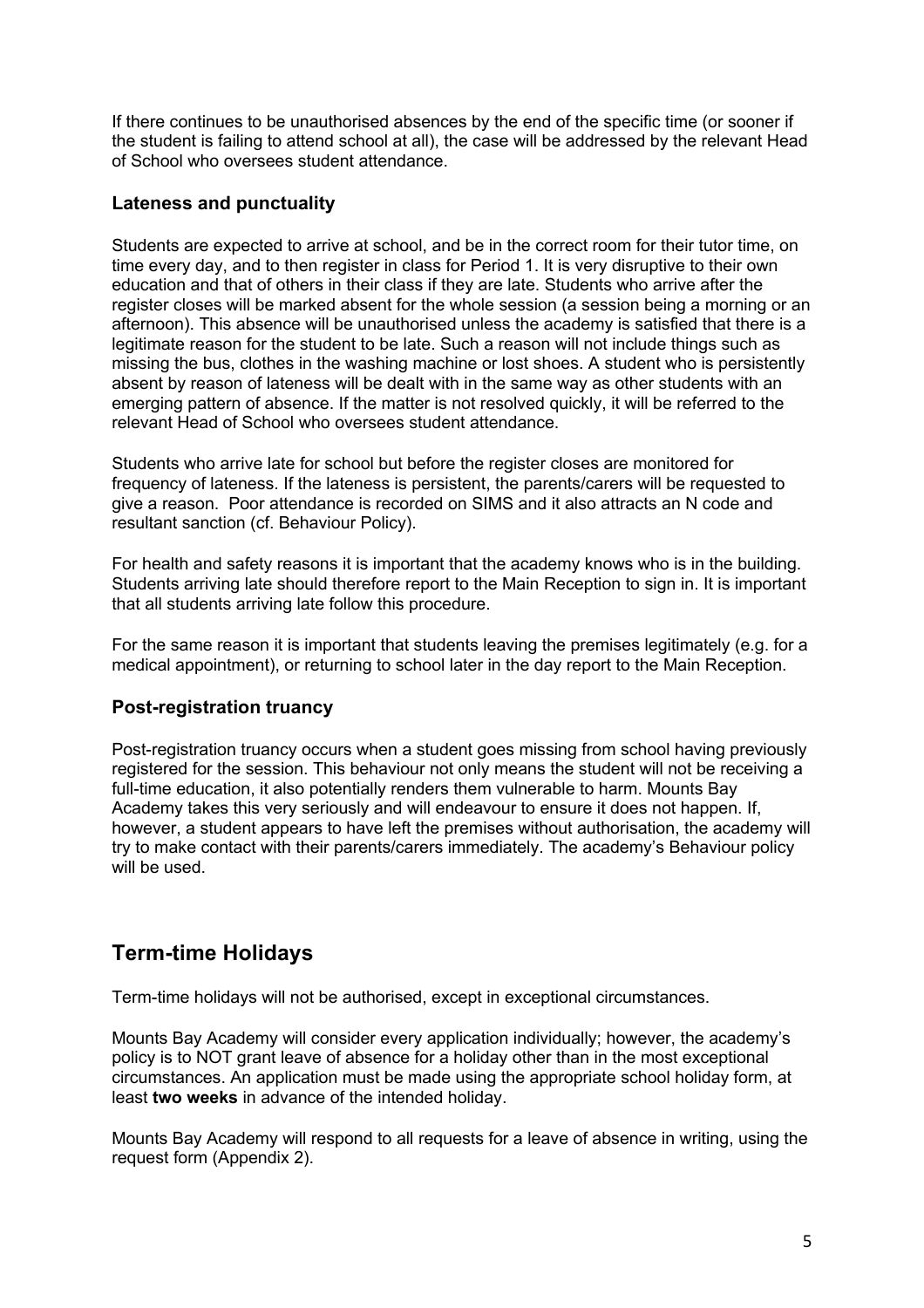If there continues to be unauthorised absences by the end of the specific time (or sooner if the student is failing to attend school at all), the case will be addressed by the relevant Head of School who oversees student attendance.

#### **Lateness and punctuality**

Students are expected to arrive at school, and be in the correct room for their tutor time, on time every day, and to then register in class for Period 1. It is very disruptive to their own education and that of others in their class if they are late. Students who arrive after the register closes will be marked absent for the whole session (a session being a morning or an afternoon). This absence will be unauthorised unless the academy is satisfied that there is a legitimate reason for the student to be late. Such a reason will not include things such as missing the bus, clothes in the washing machine or lost shoes. A student who is persistently absent by reason of lateness will be dealt with in the same way as other students with an emerging pattern of absence. If the matter is not resolved quickly, it will be referred to the relevant Head of School who oversees student attendance.

Students who arrive late for school but before the register closes are monitored for frequency of lateness. If the lateness is persistent, the parents/carers will be requested to give a reason. Poor attendance is recorded on SIMS and it also attracts an N code and resultant sanction (cf. Behaviour Policy).

For health and safety reasons it is important that the academy knows who is in the building. Students arriving late should therefore report to the Main Reception to sign in. It is important that all students arriving late follow this procedure.

For the same reason it is important that students leaving the premises legitimately (e.g. for a medical appointment), or returning to school later in the day report to the Main Reception.

#### **Post-registration truancy**

Post-registration truancy occurs when a student goes missing from school having previously registered for the session. This behaviour not only means the student will not be receiving a full-time education, it also potentially renders them vulnerable to harm. Mounts Bay Academy takes this very seriously and will endeavour to ensure it does not happen. If, however, a student appears to have left the premises without authorisation, the academy will try to make contact with their parents/carers immediately. The academy's Behaviour policy will be used.

# **Term-time Holidays**

Term-time holidays will not be authorised, except in exceptional circumstances.

Mounts Bay Academy will consider every application individually; however, the academy's policy is to NOT grant leave of absence for a holiday other than in the most exceptional circumstances. An application must be made using the appropriate school holiday form, at least **two weeks** in advance of the intended holiday.

Mounts Bay Academy will respond to all requests for a leave of absence in writing, using the request form (Appendix 2).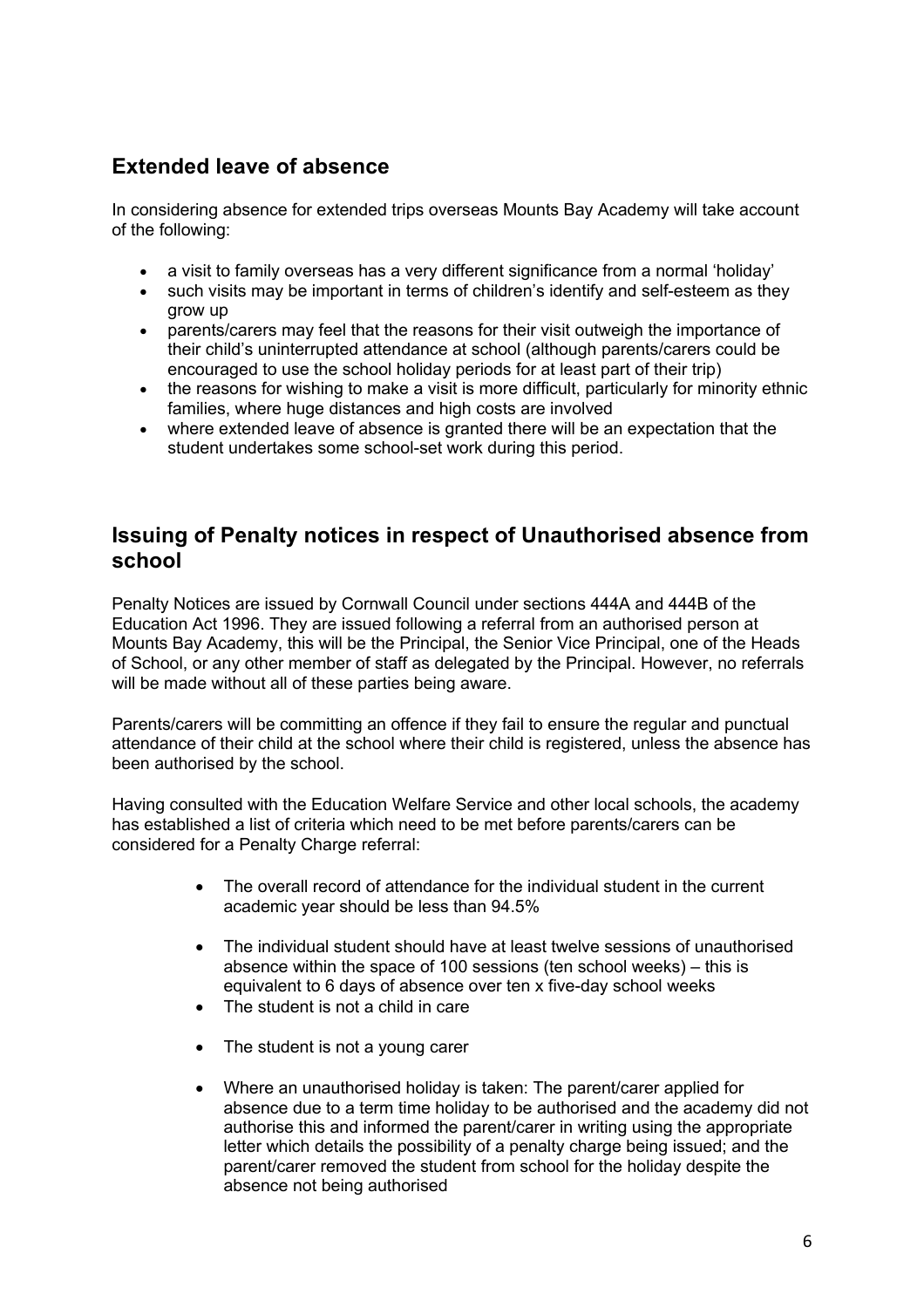# **Extended leave of absence**

In considering absence for extended trips overseas Mounts Bay Academy will take account of the following:

- a visit to family overseas has a very different significance from a normal 'holiday'
- such visits may be important in terms of children's identify and self-esteem as they grow up
- parents/carers may feel that the reasons for their visit outweigh the importance of their child's uninterrupted attendance at school (although parents/carers could be encouraged to use the school holiday periods for at least part of their trip)
- the reasons for wishing to make a visit is more difficult, particularly for minority ethnic families, where huge distances and high costs are involved
- where extended leave of absence is granted there will be an expectation that the student undertakes some school-set work during this period.

# **Issuing of Penalty notices in respect of Unauthorised absence from school**

Penalty Notices are issued by Cornwall Council under sections 444A and 444B of the Education Act 1996. They are issued following a referral from an authorised person at Mounts Bay Academy, this will be the Principal, the Senior Vice Principal, one of the Heads of School, or any other member of staff as delegated by the Principal. However, no referrals will be made without all of these parties being aware.

Parents/carers will be committing an offence if they fail to ensure the regular and punctual attendance of their child at the school where their child is registered, unless the absence has been authorised by the school.

Having consulted with the Education Welfare Service and other local schools, the academy has established a list of criteria which need to be met before parents/carers can be considered for a Penalty Charge referral:

- The overall record of attendance for the individual student in the current academic year should be less than 94.5%
- The individual student should have at least twelve sessions of unauthorised absence within the space of 100 sessions (ten school weeks) – this is equivalent to 6 days of absence over ten x five-day school weeks
- The student is not a child in care
- The student is not a young carer
- Where an unauthorised holiday is taken: The parent/carer applied for absence due to a term time holiday to be authorised and the academy did not authorise this and informed the parent/carer in writing using the appropriate letter which details the possibility of a penalty charge being issued; and the parent/carer removed the student from school for the holiday despite the absence not being authorised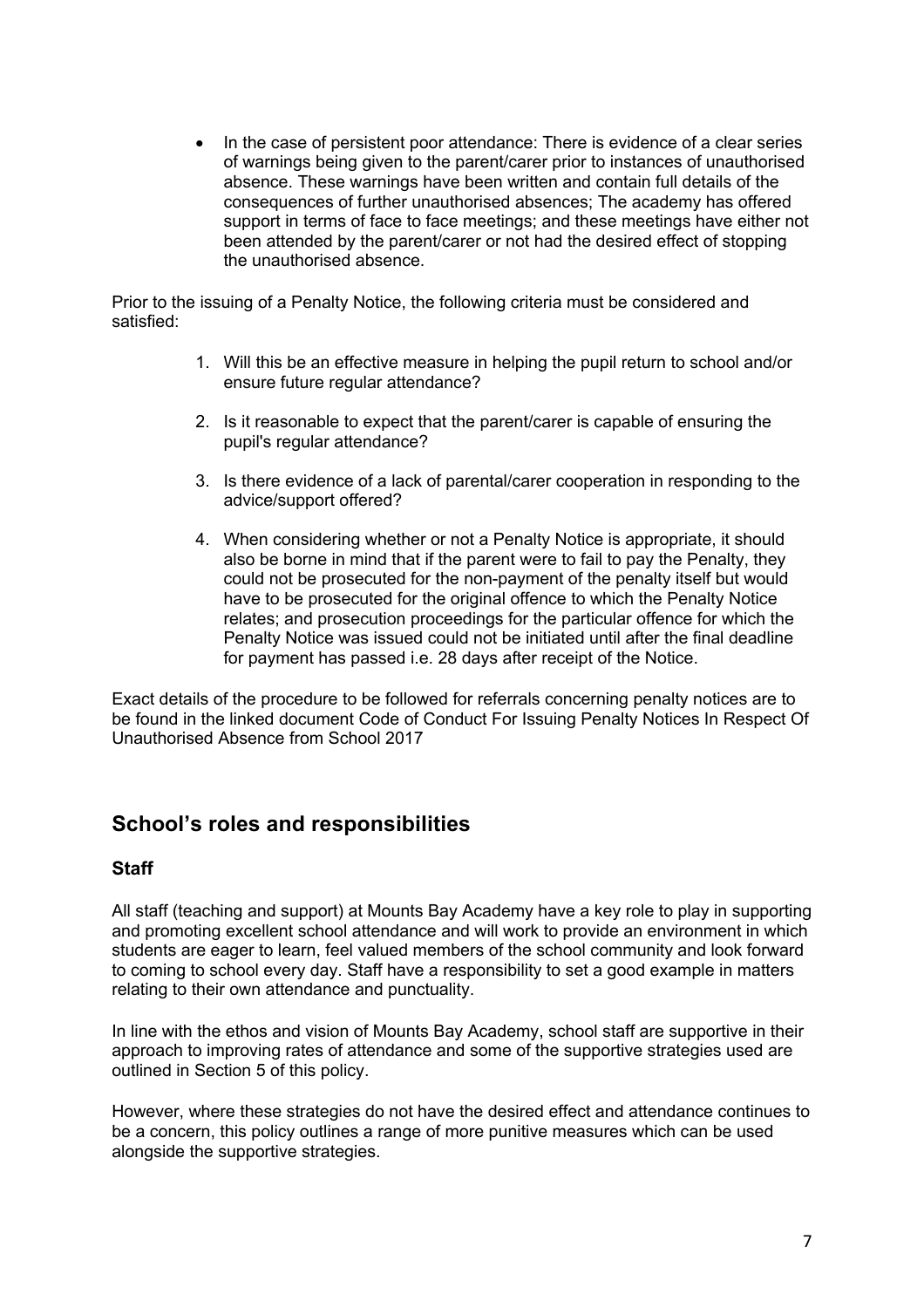• In the case of persistent poor attendance: There is evidence of a clear series of warnings being given to the parent/carer prior to instances of unauthorised absence. These warnings have been written and contain full details of the consequences of further unauthorised absences; The academy has offered support in terms of face to face meetings; and these meetings have either not been attended by the parent/carer or not had the desired effect of stopping the unauthorised absence.

Prior to the issuing of a Penalty Notice, the following criteria must be considered and satisfied:

- 1. Will this be an effective measure in helping the pupil return to school and/or ensure future regular attendance?
- 2. Is it reasonable to expect that the parent/carer is capable of ensuring the pupil's regular attendance?
- 3. Is there evidence of a lack of parental/carer cooperation in responding to the advice/support offered?
- 4. When considering whether or not a Penalty Notice is appropriate, it should also be borne in mind that if the parent were to fail to pay the Penalty, they could not be prosecuted for the non-payment of the penalty itself but would have to be prosecuted for the original offence to which the Penalty Notice relates; and prosecution proceedings for the particular offence for which the Penalty Notice was issued could not be initiated until after the final deadline for payment has passed i.e. 28 days after receipt of the Notice.

Exact details of the procedure to be followed for referrals concerning penalty notices are to be found in the linked document Code of Conduct For Issuing Penalty Notices In Respect Of Unauthorised Absence from School 2017

# **School's roles and responsibilities**

#### **Staff**

All staff (teaching and support) at Mounts Bay Academy have a key role to play in supporting and promoting excellent school attendance and will work to provide an environment in which students are eager to learn, feel valued members of the school community and look forward to coming to school every day. Staff have a responsibility to set a good example in matters relating to their own attendance and punctuality.

In line with the ethos and vision of Mounts Bay Academy, school staff are supportive in their approach to improving rates of attendance and some of the supportive strategies used are outlined in Section 5 of this policy.

However, where these strategies do not have the desired effect and attendance continues to be a concern, this policy outlines a range of more punitive measures which can be used alongside the supportive strategies.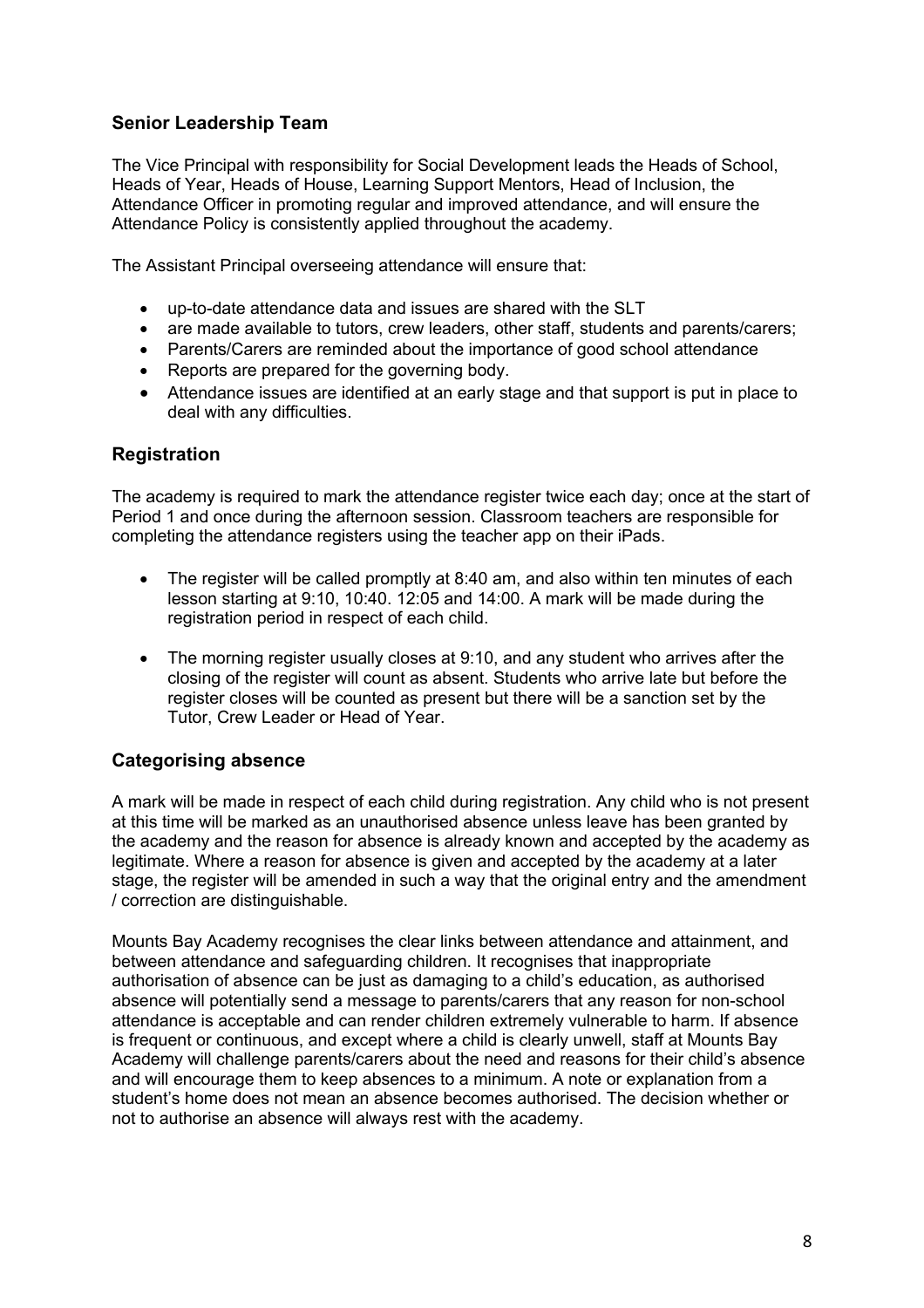## **Senior Leadership Team**

The Vice Principal with responsibility for Social Development leads the Heads of School, Heads of Year, Heads of House, Learning Support Mentors, Head of Inclusion, the Attendance Officer in promoting regular and improved attendance, and will ensure the Attendance Policy is consistently applied throughout the academy.

The Assistant Principal overseeing attendance will ensure that:

- up-to-date attendance data and issues are shared with the SLT
- are made available to tutors, crew leaders, other staff, students and parents/carers;
- Parents/Carers are reminded about the importance of good school attendance
- Reports are prepared for the governing body.
- Attendance issues are identified at an early stage and that support is put in place to deal with any difficulties.

#### **Registration**

The academy is required to mark the attendance register twice each day; once at the start of Period 1 and once during the afternoon session. Classroom teachers are responsible for completing the attendance registers using the teacher app on their iPads.

- The register will be called promptly at 8:40 am, and also within ten minutes of each lesson starting at 9:10, 10:40. 12:05 and 14:00. A mark will be made during the registration period in respect of each child.
- The morning register usually closes at 9:10, and any student who arrives after the closing of the register will count as absent. Students who arrive late but before the register closes will be counted as present but there will be a sanction set by the Tutor, Crew Leader or Head of Year.

#### **Categorising absence**

A mark will be made in respect of each child during registration. Any child who is not present at this time will be marked as an unauthorised absence unless leave has been granted by the academy and the reason for absence is already known and accepted by the academy as legitimate. Where a reason for absence is given and accepted by the academy at a later stage, the register will be amended in such a way that the original entry and the amendment / correction are distinguishable.

Mounts Bay Academy recognises the clear links between attendance and attainment, and between attendance and safeguarding children. It recognises that inappropriate authorisation of absence can be just as damaging to a child's education, as authorised absence will potentially send a message to parents/carers that any reason for non-school attendance is acceptable and can render children extremely vulnerable to harm. If absence is frequent or continuous, and except where a child is clearly unwell, staff at Mounts Bay Academy will challenge parents/carers about the need and reasons for their child's absence and will encourage them to keep absences to a minimum. A note or explanation from a student's home does not mean an absence becomes authorised. The decision whether or not to authorise an absence will always rest with the academy.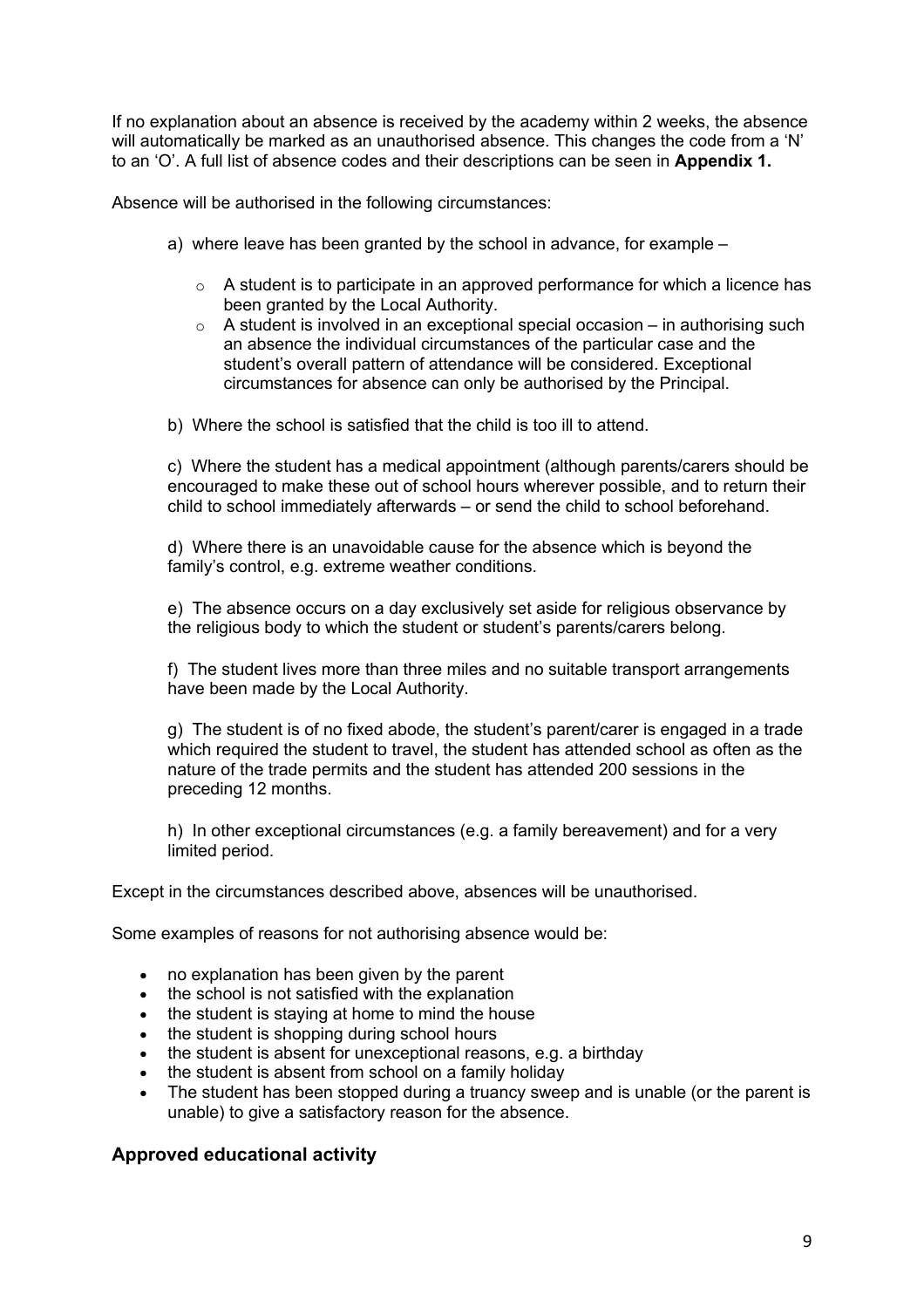If no explanation about an absence is received by the academy within 2 weeks, the absence will automatically be marked as an unauthorised absence. This changes the code from a 'N' to an 'O'. A full list of absence codes and their descriptions can be seen in **Appendix 1.**

Absence will be authorised in the following circumstances:

- a) where leave has been granted by the school in advance, for example
	- $\circ$  A student is to participate in an approved performance for which a licence has been granted by the Local Authority.
	- $\circ$  A student is involved in an exceptional special occasion in authorising such an absence the individual circumstances of the particular case and the student's overall pattern of attendance will be considered. Exceptional circumstances for absence can only be authorised by the Principal.
- b) Where the school is satisfied that the child is too ill to attend.

c) Where the student has a medical appointment (although parents/carers should be encouraged to make these out of school hours wherever possible, and to return their child to school immediately afterwards – or send the child to school beforehand.

d) Where there is an unavoidable cause for the absence which is beyond the family's control, e.g. extreme weather conditions.

e) The absence occurs on a day exclusively set aside for religious observance by the religious body to which the student or student's parents/carers belong.

f) The student lives more than three miles and no suitable transport arrangements have been made by the Local Authority.

g) The student is of no fixed abode, the student's parent/carer is engaged in a trade which required the student to travel, the student has attended school as often as the nature of the trade permits and the student has attended 200 sessions in the preceding 12 months.

h) In other exceptional circumstances (e.g. a family bereavement) and for a very limited period.

Except in the circumstances described above, absences will be unauthorised.

Some examples of reasons for not authorising absence would be:

- no explanation has been given by the parent
- the school is not satisfied with the explanation
- the student is staying at home to mind the house
- the student is shopping during school hours
- the student is absent for unexceptional reasons, e.g. a birthday
- the student is absent from school on a family holiday
- The student has been stopped during a truancy sweep and is unable (or the parent is unable) to give a satisfactory reason for the absence.

#### **Approved educational activity**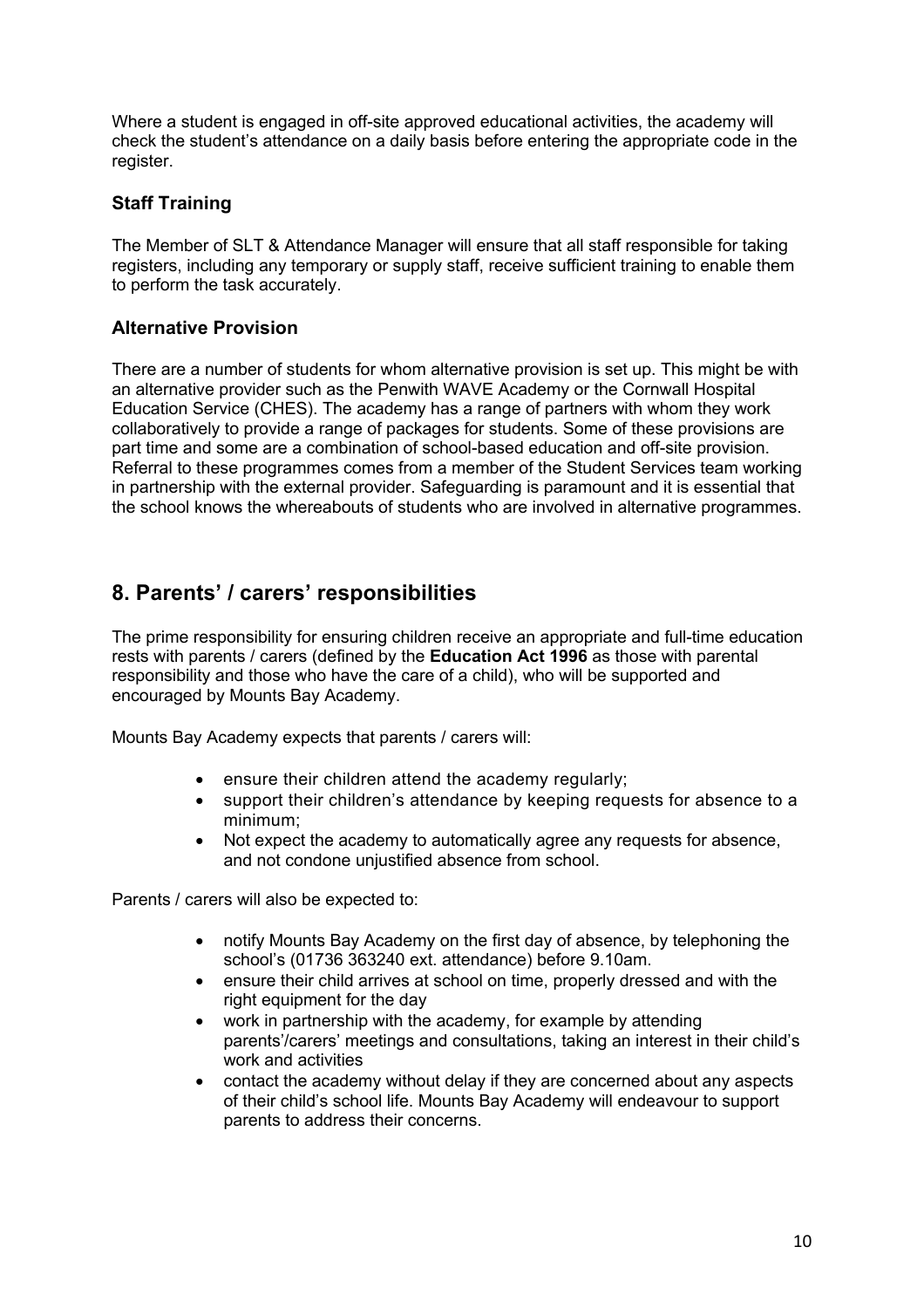Where a student is engaged in off-site approved educational activities, the academy will check the student's attendance on a daily basis before entering the appropriate code in the register.

## **Staff Training**

The Member of SLT & Attendance Manager will ensure that all staff responsible for taking registers, including any temporary or supply staff, receive sufficient training to enable them to perform the task accurately.

#### **Alternative Provision**

There are a number of students for whom alternative provision is set up. This might be with an alternative provider such as the Penwith WAVE Academy or the Cornwall Hospital Education Service (CHES). The academy has a range of partners with whom they work collaboratively to provide a range of packages for students. Some of these provisions are part time and some are a combination of school-based education and off-site provision. Referral to these programmes comes from a member of the Student Services team working in partnership with the external provider. Safeguarding is paramount and it is essential that the school knows the whereabouts of students who are involved in alternative programmes.

# **8. Parents' / carers' responsibilities**

The prime responsibility for ensuring children receive an appropriate and full-time education rests with parents / carers (defined by the **Education Act 1996** as those with parental responsibility and those who have the care of a child), who will be supported and encouraged by Mounts Bay Academy.

Mounts Bay Academy expects that parents / carers will:

- ensure their children attend the academy regularly;
- support their children's attendance by keeping requests for absence to a minimum;
- Not expect the academy to automatically agree any requests for absence, and not condone unjustified absence from school.

Parents / carers will also be expected to:

- notify Mounts Bay Academy on the first day of absence, by telephoning the school's (01736 363240 ext. attendance) before 9.10am.
- ensure their child arrives at school on time, properly dressed and with the right equipment for the day
- work in partnership with the academy, for example by attending parents'/carers' meetings and consultations, taking an interest in their child's work and activities
- contact the academy without delay if they are concerned about any aspects of their child's school life. Mounts Bay Academy will endeavour to support parents to address their concerns.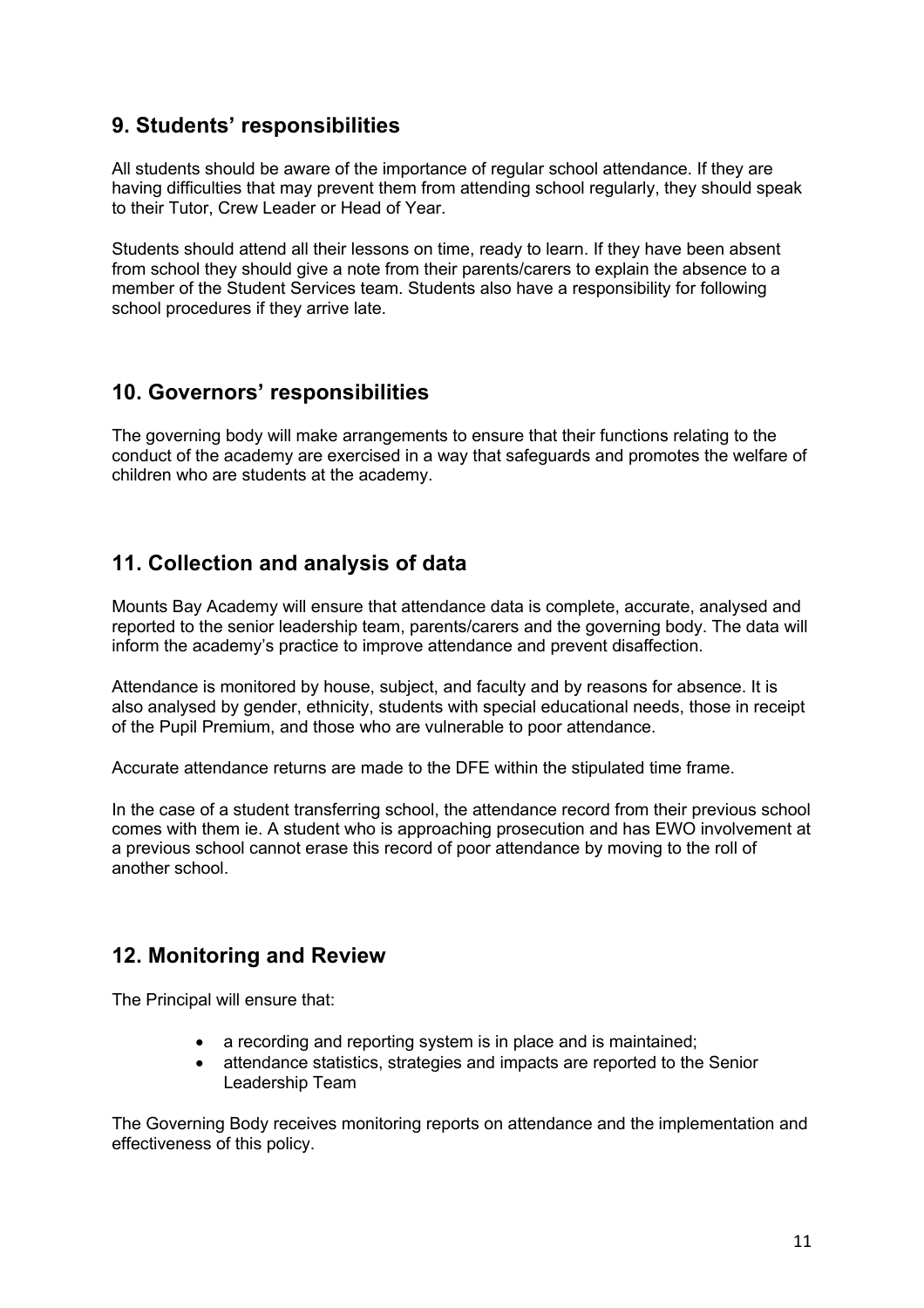# **9. Students' responsibilities**

All students should be aware of the importance of regular school attendance. If they are having difficulties that may prevent them from attending school regularly, they should speak to their Tutor, Crew Leader or Head of Year.

Students should attend all their lessons on time, ready to learn. If they have been absent from school they should give a note from their parents/carers to explain the absence to a member of the Student Services team. Students also have a responsibility for following school procedures if they arrive late.

# **10. Governors' responsibilities**

The governing body will make arrangements to ensure that their functions relating to the conduct of the academy are exercised in a way that safeguards and promotes the welfare of children who are students at the academy.

# **11. Collection and analysis of data**

Mounts Bay Academy will ensure that attendance data is complete, accurate, analysed and reported to the senior leadership team, parents/carers and the governing body. The data will inform the academy's practice to improve attendance and prevent disaffection.

Attendance is monitored by house, subject, and faculty and by reasons for absence. It is also analysed by gender, ethnicity, students with special educational needs, those in receipt of the Pupil Premium, and those who are vulnerable to poor attendance.

Accurate attendance returns are made to the DFE within the stipulated time frame.

In the case of a student transferring school, the attendance record from their previous school comes with them ie. A student who is approaching prosecution and has EWO involvement at a previous school cannot erase this record of poor attendance by moving to the roll of another school.

# **12. Monitoring and Review**

The Principal will ensure that:

- a recording and reporting system is in place and is maintained;
- attendance statistics, strategies and impacts are reported to the Senior Leadership Team

The Governing Body receives monitoring reports on attendance and the implementation and effectiveness of this policy.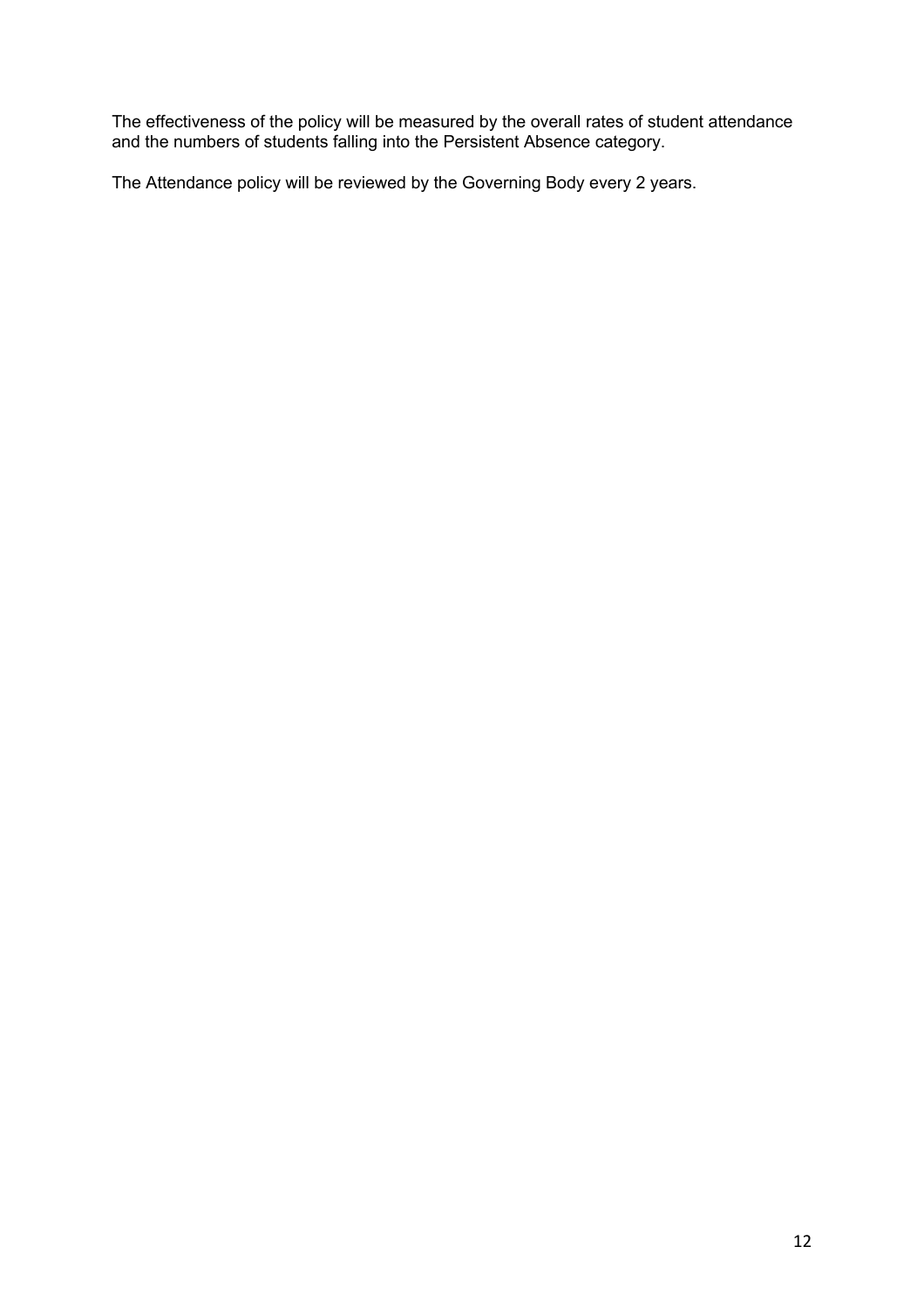The effectiveness of the policy will be measured by the overall rates of student attendance and the numbers of students falling into the Persistent Absence category.

The Attendance policy will be reviewed by the Governing Body every 2 years.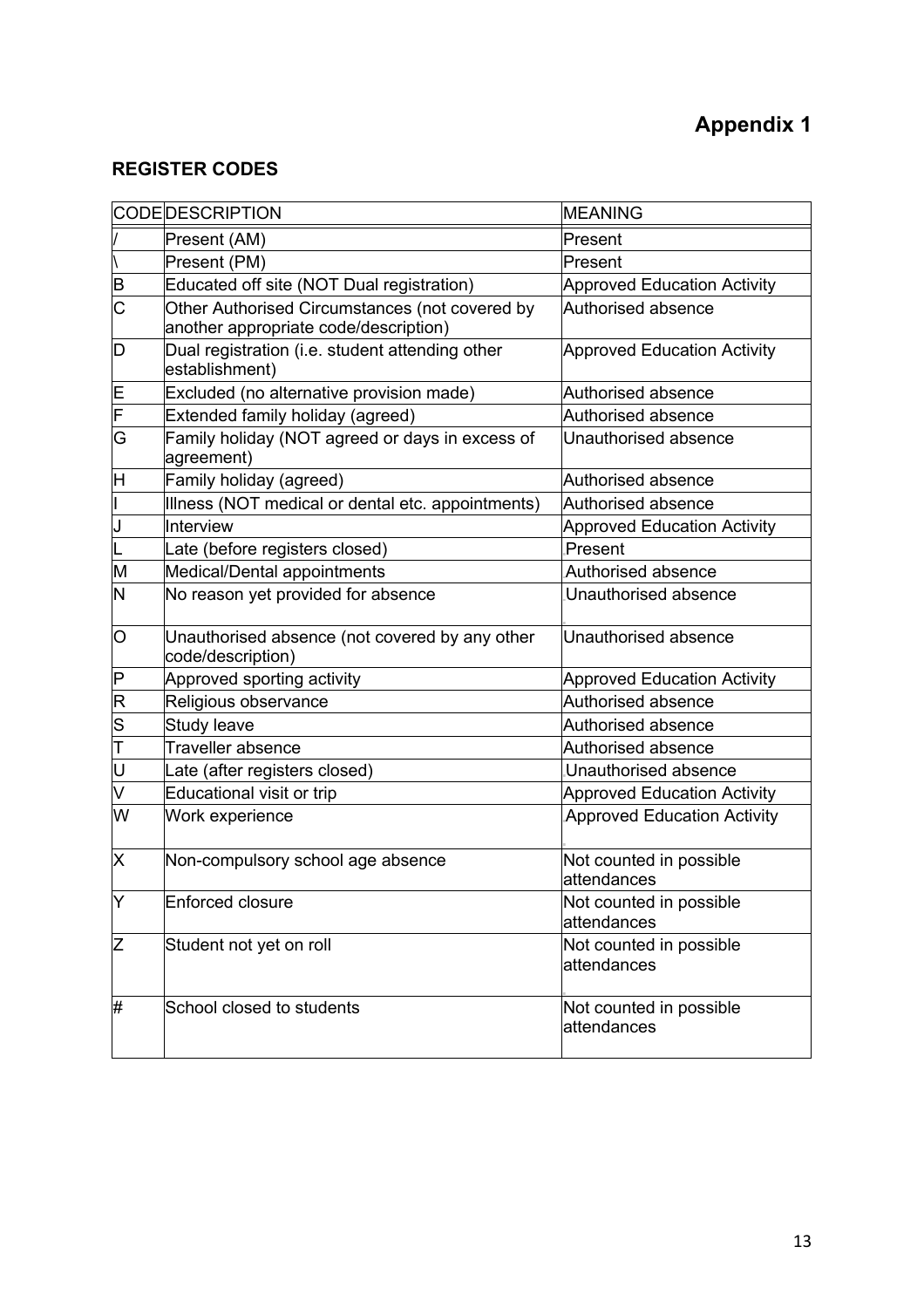# **REGISTER CODES**

|                         | <b>CODEDESCRIPTION</b>                                                                  | <b>MEANING</b>                         |  |
|-------------------------|-----------------------------------------------------------------------------------------|----------------------------------------|--|
|                         | Present (AM)                                                                            | Present                                |  |
|                         | Present (PM)                                                                            | Present                                |  |
| $\overline{\mathbf{B}}$ | Educated off site (NOT Dual registration)                                               | <b>Approved Education Activity</b>     |  |
| C                       | Other Authorised Circumstances (not covered by<br>another appropriate code/description) | Authorised absence                     |  |
| D                       | Dual registration (i.e. student attending other<br>establishment)                       | <b>Approved Education Activity</b>     |  |
| E                       | Excluded (no alternative provision made)                                                | Authorised absence                     |  |
| F                       | Extended family holiday (agreed)                                                        | Authorised absence                     |  |
| G                       | Family holiday (NOT agreed or days in excess of<br>agreement)                           | Unauthorised absence                   |  |
| Η                       | Family holiday (agreed)                                                                 | Authorised absence                     |  |
|                         | Illness (NOT medical or dental etc. appointments)                                       | Authorised absence                     |  |
| J                       | Interview                                                                               | <b>Approved Education Activity</b>     |  |
|                         | Late (before registers closed)                                                          | Present                                |  |
| M                       | Medical/Dental appointments                                                             | Authorised absence                     |  |
| N                       | No reason yet provided for absence                                                      | Unauthorised absence                   |  |
| O                       | Unauthorised absence (not covered by any other<br>code/description)                     | Unauthorised absence                   |  |
| P                       | Approved sporting activity                                                              | <b>Approved Education Activity</b>     |  |
| R                       | Religious observance                                                                    | Authorised absence                     |  |
| $\frac{1}{2}$           | Study leave                                                                             | Authorised absence                     |  |
|                         | Traveller absence                                                                       | Authorised absence                     |  |
| U                       | Late (after registers closed)                                                           | Unauthorised absence                   |  |
| V                       | Educational visit or trip                                                               | <b>Approved Education Activity</b>     |  |
| W                       | Work experience                                                                         | <b>Approved Education Activity</b>     |  |
| X                       | Non-compulsory school age absence                                                       | Not counted in possible<br>attendances |  |
| Y                       | Enforced closure                                                                        | Not counted in possible<br>attendances |  |
| Z                       | Student not yet on roll                                                                 | Not counted in possible<br>attendances |  |
| #                       | School closed to students                                                               | Not counted in possible<br>attendances |  |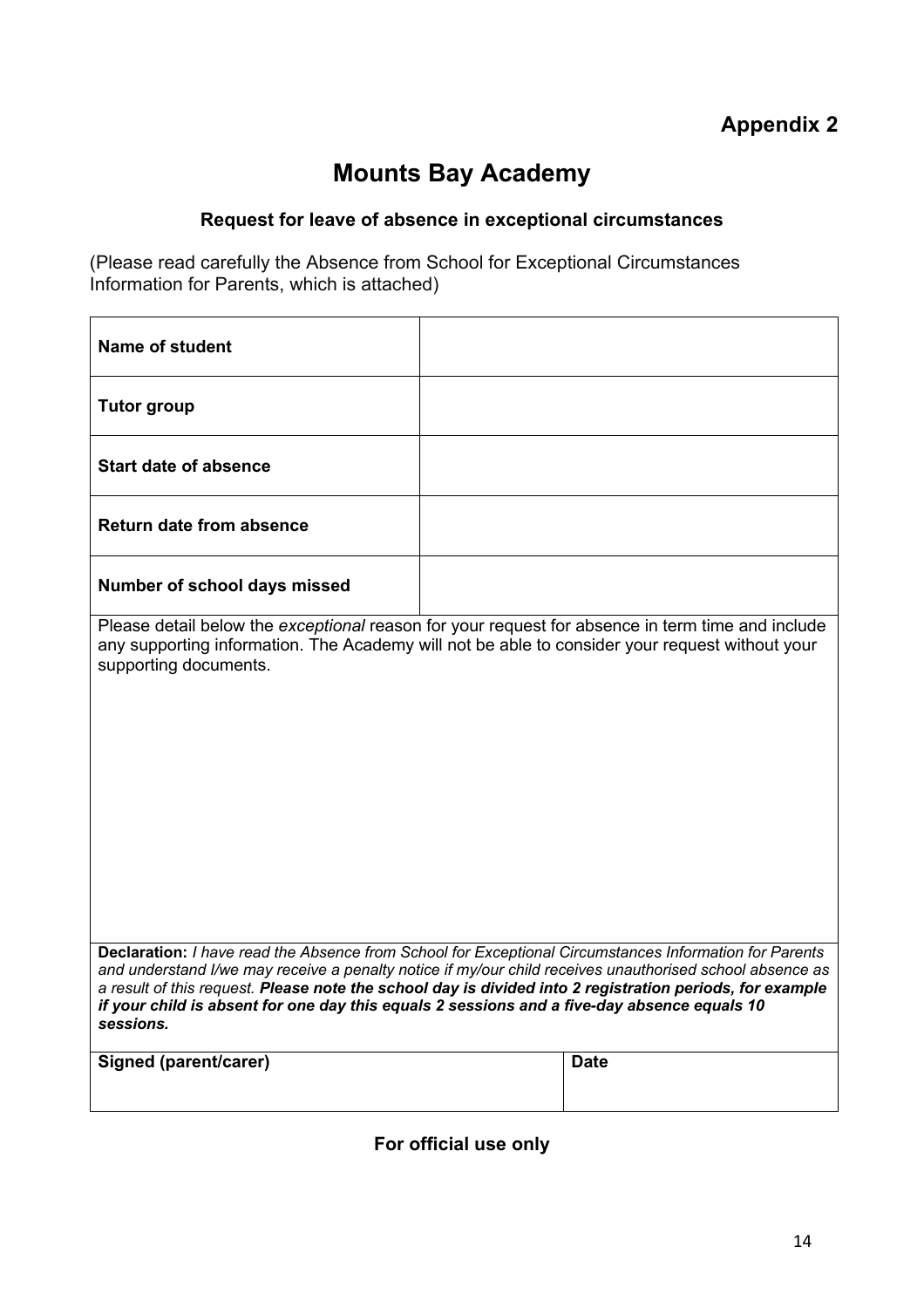# **Mounts Bay Academy**

# **Request for leave of absence in exceptional circumstances**

(Please read carefully the Absence from School for Exceptional Circumstances Information for Parents, which is attached)

| <b>Name of student</b>                                                                                                                                                                                                                                                                                                                                                                                                                     |  |             |
|--------------------------------------------------------------------------------------------------------------------------------------------------------------------------------------------------------------------------------------------------------------------------------------------------------------------------------------------------------------------------------------------------------------------------------------------|--|-------------|
| <b>Tutor group</b>                                                                                                                                                                                                                                                                                                                                                                                                                         |  |             |
| <b>Start date of absence</b>                                                                                                                                                                                                                                                                                                                                                                                                               |  |             |
| <b>Return date from absence</b>                                                                                                                                                                                                                                                                                                                                                                                                            |  |             |
| Number of school days missed                                                                                                                                                                                                                                                                                                                                                                                                               |  |             |
| Please detail below the exceptional reason for your request for absence in term time and include<br>any supporting information. The Academy will not be able to consider your request without your<br>supporting documents.                                                                                                                                                                                                                |  |             |
| Declaration: I have read the Absence from School for Exceptional Circumstances Information for Parents<br>and understand I/we may receive a penalty notice if my/our child receives unauthorised school absence as<br>a result of this request. Please note the school day is divided into 2 registration periods, for example<br>if your child is absent for one day this equals 2 sessions and a five-day absence equals 10<br>sessions. |  |             |
| Signed (parent/carer)                                                                                                                                                                                                                                                                                                                                                                                                                      |  | <b>Date</b> |

**For official use only**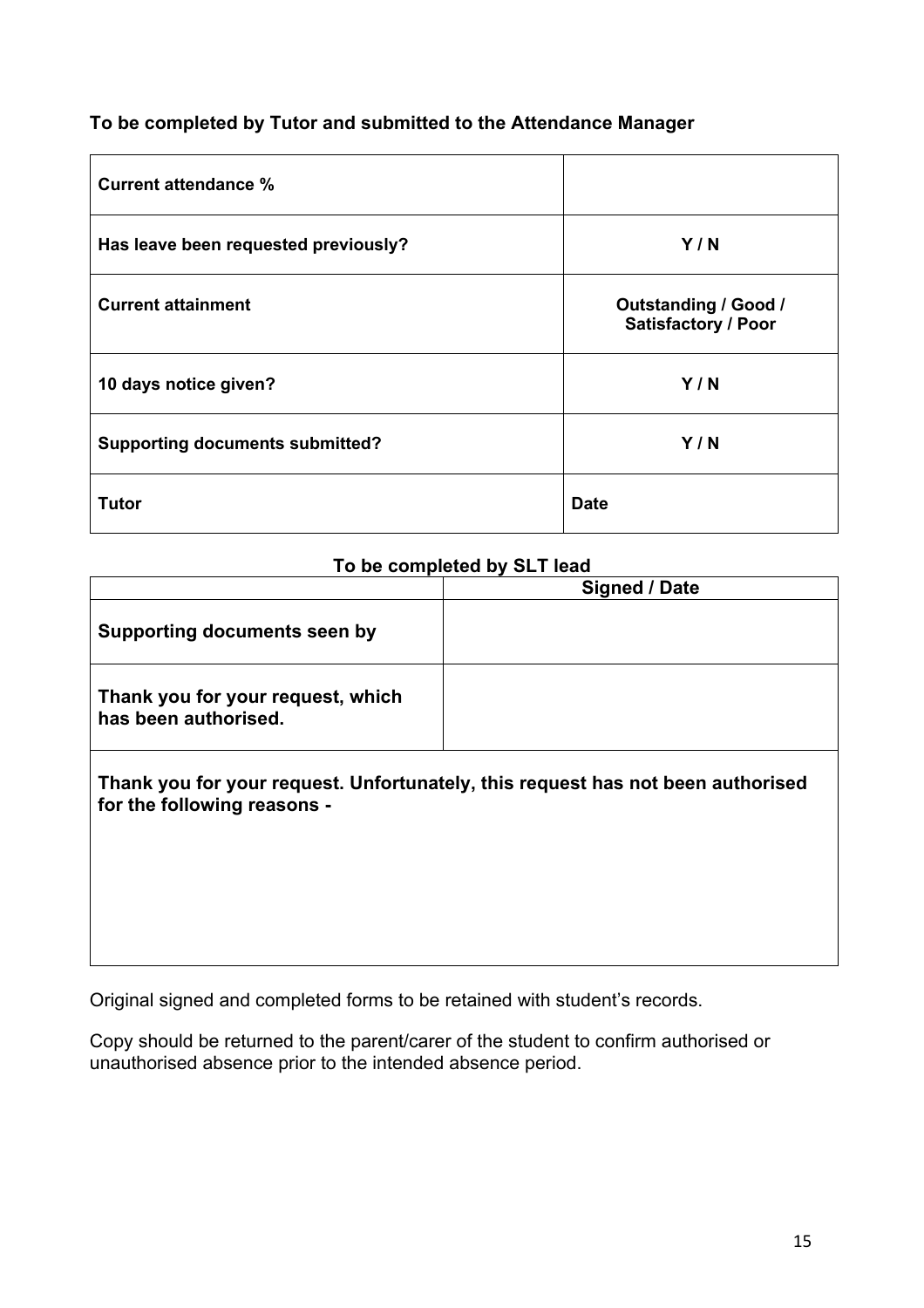# **To be completed by Tutor and submitted to the Attendance Manager**

| <b>Current attendance %</b>            |                                                           |
|----------------------------------------|-----------------------------------------------------------|
| Has leave been requested previously?   | Y/N                                                       |
| <b>Current attainment</b>              | <b>Outstanding / Good /</b><br><b>Satisfactory / Poor</b> |
| 10 days notice given?                  | Y/N                                                       |
| <b>Supporting documents submitted?</b> | Y/N                                                       |
| Tutor                                  | <b>Date</b>                                               |

### **To be completed by SLT lead**

|                                                                                                                | Signed / Date |  |
|----------------------------------------------------------------------------------------------------------------|---------------|--|
| Supporting documents seen by                                                                                   |               |  |
| Thank you for your request, which<br>has been authorised.                                                      |               |  |
| Thank you for your request. Unfortunately, this request has not been authorised<br>for the following reasons - |               |  |

Original signed and completed forms to be retained with student's records.

Copy should be returned to the parent/carer of the student to confirm authorised or unauthorised absence prior to the intended absence period.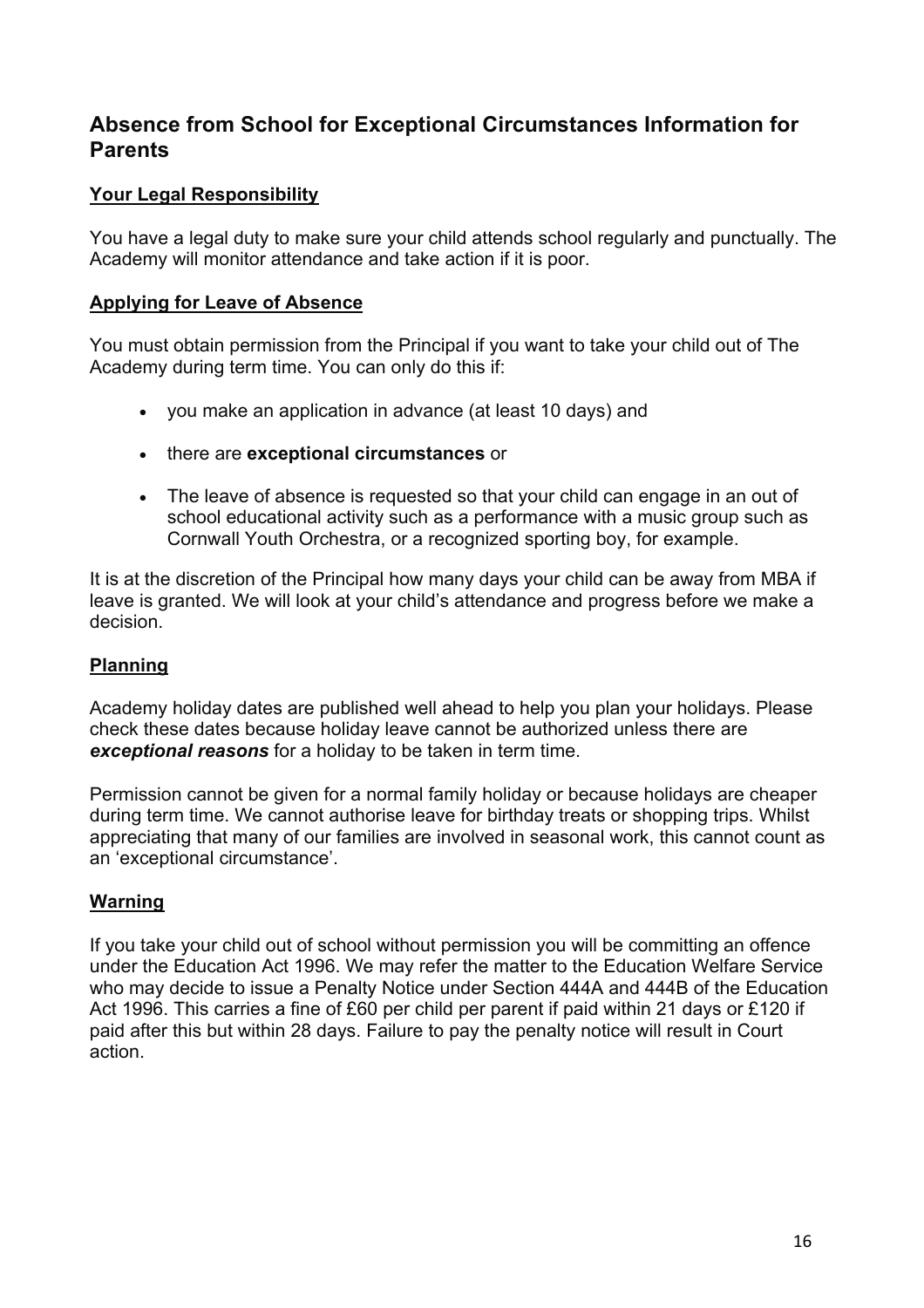# **Absence from School for Exceptional Circumstances Information for Parents**

# **Your Legal Responsibility**

You have a legal duty to make sure your child attends school regularly and punctually. The Academy will monitor attendance and take action if it is poor.

## **Applying for Leave of Absence**

You must obtain permission from the Principal if you want to take your child out of The Academy during term time. You can only do this if:

- you make an application in advance (at least 10 days) and
- there are **exceptional circumstances** or
- The leave of absence is requested so that your child can engage in an out of school educational activity such as a performance with a music group such as Cornwall Youth Orchestra, or a recognized sporting boy, for example.

It is at the discretion of the Principal how many days your child can be away from MBA if leave is granted. We will look at your child's attendance and progress before we make a decision.

# **Planning**

Academy holiday dates are published well ahead to help you plan your holidays. Please check these dates because holiday leave cannot be authorized unless there are *exceptional reasons* for a holiday to be taken in term time.

Permission cannot be given for a normal family holiday or because holidays are cheaper during term time. We cannot authorise leave for birthday treats or shopping trips. Whilst appreciating that many of our families are involved in seasonal work, this cannot count as an 'exceptional circumstance'.

# **Warning**

If you take your child out of school without permission you will be committing an offence under the Education Act 1996. We may refer the matter to the Education Welfare Service who may decide to issue a Penalty Notice under Section 444A and 444B of the Education Act 1996. This carries a fine of £60 per child per parent if paid within 21 days or £120 if paid after this but within 28 days. Failure to pay the penalty notice will result in Court action.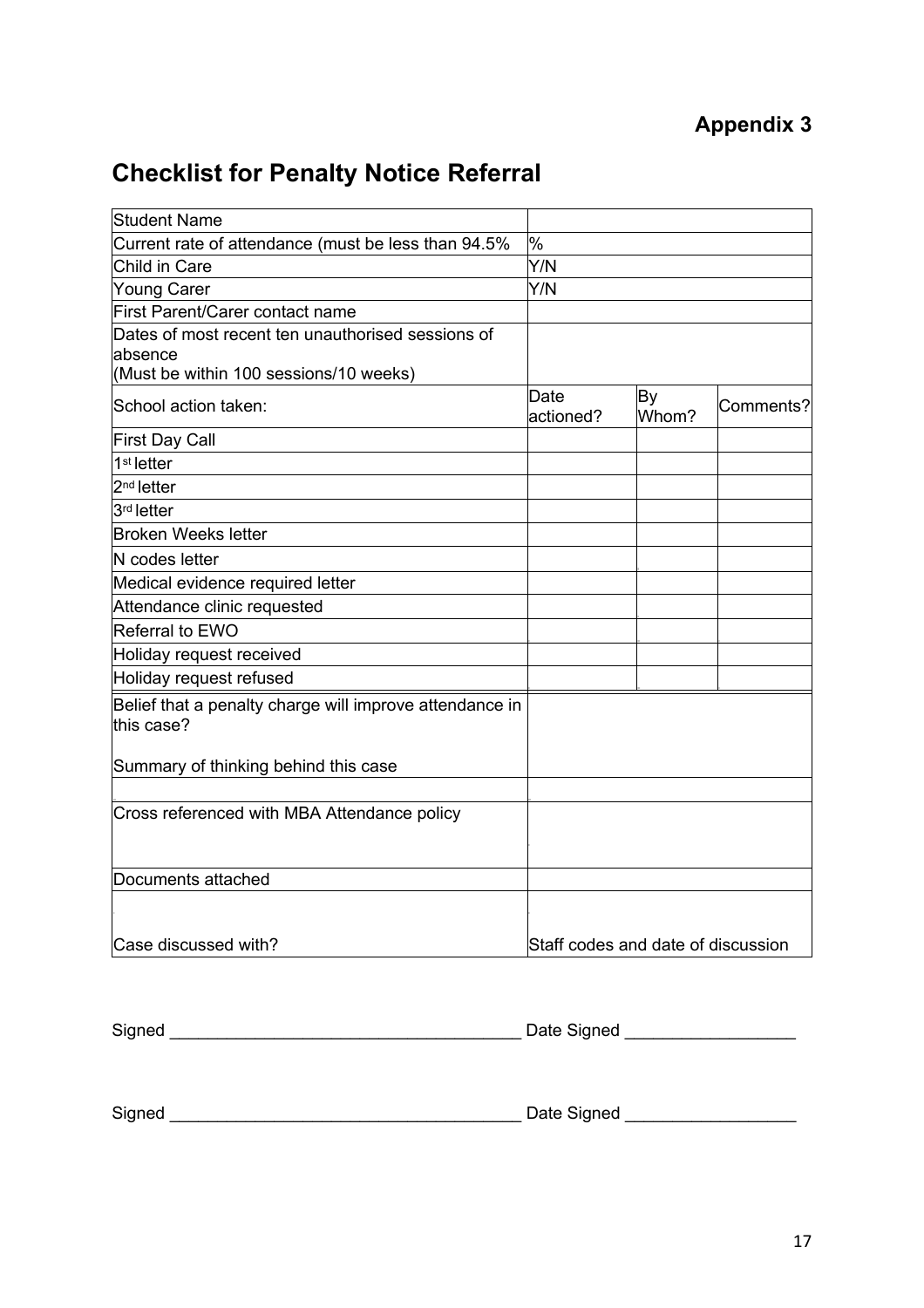# **Checklist for Penalty Notice Referral**

| <b>Student Name</b>                                                   |                                    |                    |           |
|-----------------------------------------------------------------------|------------------------------------|--------------------|-----------|
| Current rate of attendance (must be less than 94.5%                   | %                                  |                    |           |
| Child in Care                                                         | Y/N                                |                    |           |
| <b>Young Carer</b>                                                    | Y/N                                |                    |           |
| First Parent/Carer contact name                                       |                                    |                    |           |
| Dates of most recent ten unauthorised sessions of<br>absence          |                                    |                    |           |
| (Must be within 100 sessions/10 weeks)                                |                                    |                    |           |
| School action taken:                                                  | Date<br>actioned?                  | <b>By</b><br>Whom? | Comments? |
| <b>First Day Call</b>                                                 |                                    |                    |           |
| 1 <sup>st</sup> letter                                                |                                    |                    |           |
| $2nd$ letter                                                          |                                    |                    |           |
| 3rd letter                                                            |                                    |                    |           |
| <b>Broken Weeks letter</b>                                            |                                    |                    |           |
| N codes letter                                                        |                                    |                    |           |
| Medical evidence required letter                                      |                                    |                    |           |
| Attendance clinic requested                                           |                                    |                    |           |
| Referral to EWO                                                       |                                    |                    |           |
| Holiday request received                                              |                                    |                    |           |
| Holiday request refused                                               |                                    |                    |           |
| Belief that a penalty charge will improve attendance in<br>this case? |                                    |                    |           |
| Summary of thinking behind this case                                  |                                    |                    |           |
| Cross referenced with MBA Attendance policy                           |                                    |                    |           |
| Documents attached                                                    |                                    |                    |           |
|                                                                       |                                    |                    |           |
| Case discussed with?                                                  | Staff codes and date of discussion |                    |           |

Signed \_\_\_\_\_\_\_\_\_\_\_\_\_\_\_\_\_\_\_\_\_\_\_\_\_\_\_\_\_\_\_\_\_\_\_\_\_ Date Signed \_\_\_\_\_\_\_\_\_\_\_\_\_\_\_\_\_\_

Signed \_\_\_\_\_\_\_\_\_\_\_\_\_\_\_\_\_\_\_\_\_\_\_\_\_\_\_\_\_\_\_\_\_\_\_\_\_ Date Signed \_\_\_\_\_\_\_\_\_\_\_\_\_\_\_\_\_\_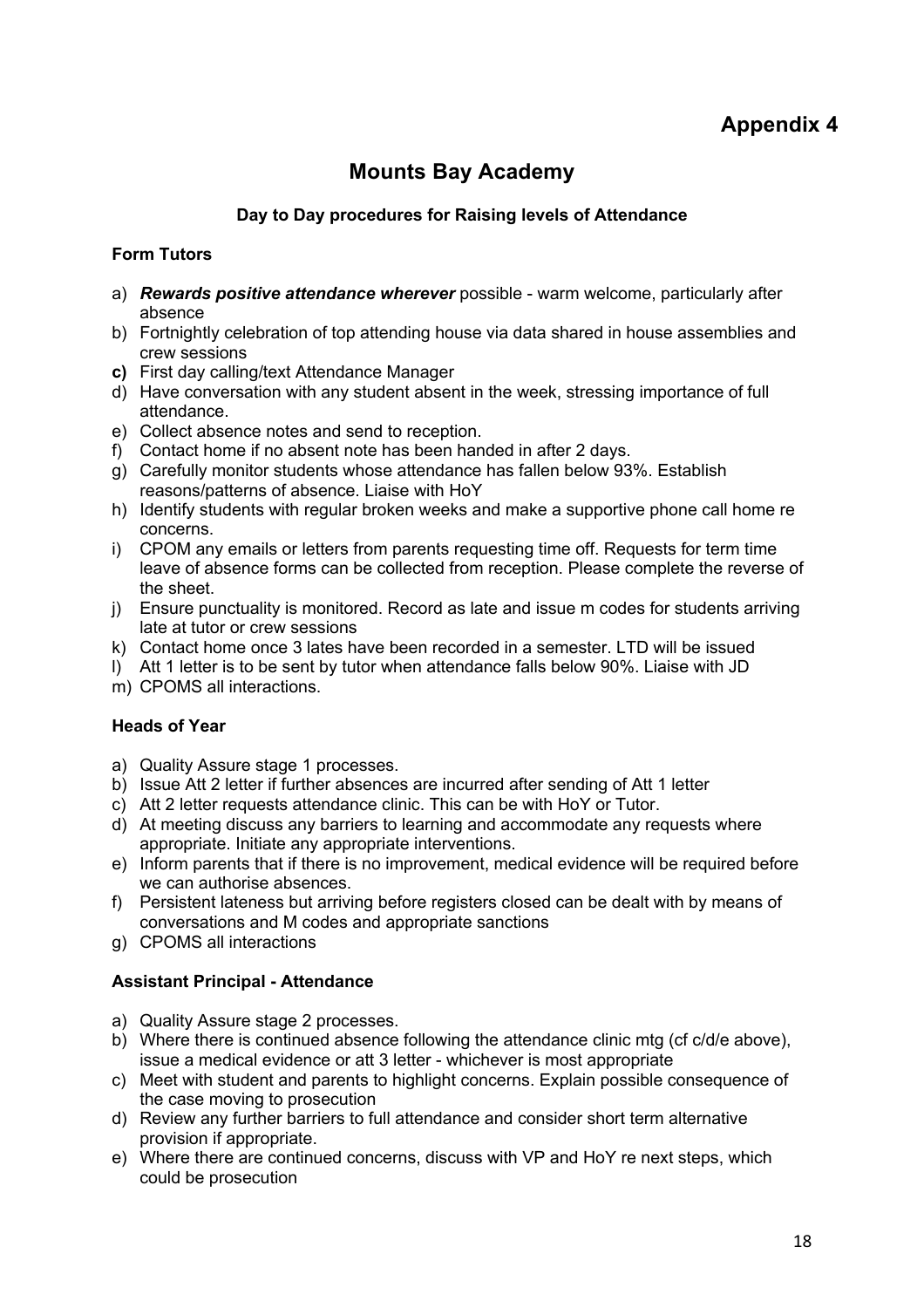# **Mounts Bay Academy**

#### **Day to Day procedures for Raising levels of Attendance**

#### **Form Tutors**

- a) *Rewards positive attendance wherever* possible warm welcome, particularly after absence
- b) Fortnightly celebration of top attending house via data shared in house assemblies and crew sessions
- **c)** First day calling/text Attendance Manager
- d) Have conversation with any student absent in the week, stressing importance of full attendance.
- e) Collect absence notes and send to reception.
- f) Contact home if no absent note has been handed in after 2 days.
- g) Carefully monitor students whose attendance has fallen below 93%. Establish reasons/patterns of absence. Liaise with HoY
- h) Identify students with regular broken weeks and make a supportive phone call home re concerns.
- i) CPOM any emails or letters from parents requesting time off. Requests for term time leave of absence forms can be collected from reception. Please complete the reverse of the sheet.
- j) Ensure punctuality is monitored. Record as late and issue m codes for students arriving late at tutor or crew sessions
- k) Contact home once 3 lates have been recorded in a semester. LTD will be issued
- l) Att 1 letter is to be sent by tutor when attendance falls below 90%. Liaise with JD
- m) CPOMS all interactions.

#### **Heads of Year**

- a) Quality Assure stage 1 processes.
- b) Issue Att 2 letter if further absences are incurred after sending of Att 1 letter
- c) Att 2 letter requests attendance clinic. This can be with HoY or Tutor.
- d) At meeting discuss any barriers to learning and accommodate any requests where appropriate. Initiate any appropriate interventions.
- e) Inform parents that if there is no improvement, medical evidence will be required before we can authorise absences.
- f) Persistent lateness but arriving before registers closed can be dealt with by means of conversations and M codes and appropriate sanctions
- g) CPOMS all interactions

#### **Assistant Principal - Attendance**

- a) Quality Assure stage 2 processes.
- b) Where there is continued absence following the attendance clinic mtg (cf c/d/e above), issue a medical evidence or att 3 letter - whichever is most appropriate
- c) Meet with student and parents to highlight concerns. Explain possible consequence of the case moving to prosecution
- d) Review any further barriers to full attendance and consider short term alternative provision if appropriate.
- e) Where there are continued concerns, discuss with VP and HoY re next steps, which could be prosecution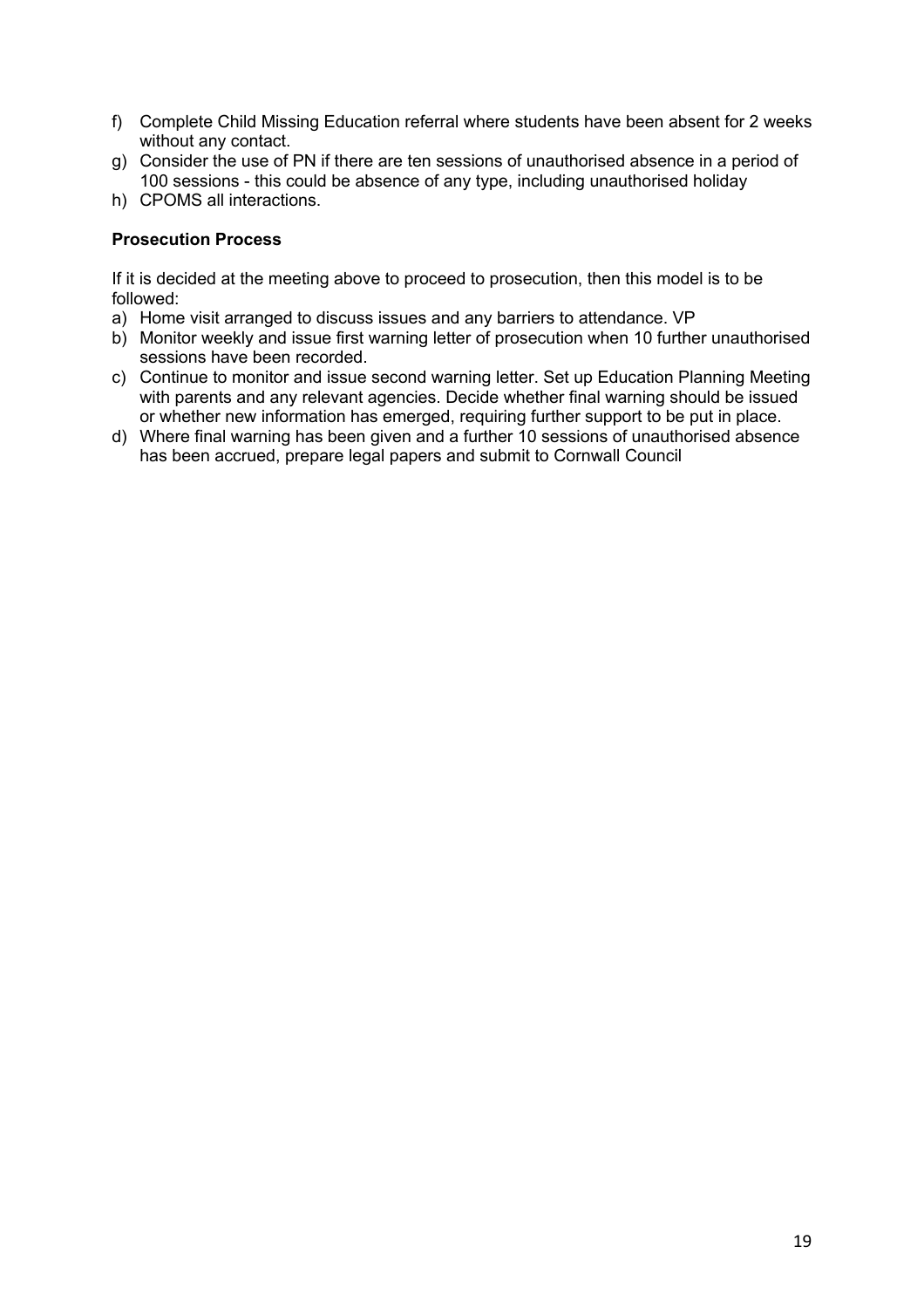- f) Complete Child Missing Education referral where students have been absent for 2 weeks without any contact.
- g) Consider the use of PN if there are ten sessions of unauthorised absence in a period of 100 sessions - this could be absence of any type, including unauthorised holiday
- h) CPOMS all interactions.

#### **Prosecution Process**

If it is decided at the meeting above to proceed to prosecution, then this model is to be followed:

- a) Home visit arranged to discuss issues and any barriers to attendance. VP
- b) Monitor weekly and issue first warning letter of prosecution when 10 further unauthorised sessions have been recorded.
- c) Continue to monitor and issue second warning letter. Set up Education Planning Meeting with parents and any relevant agencies. Decide whether final warning should be issued or whether new information has emerged, requiring further support to be put in place.
- d) Where final warning has been given and a further 10 sessions of unauthorised absence has been accrued, prepare legal papers and submit to Cornwall Council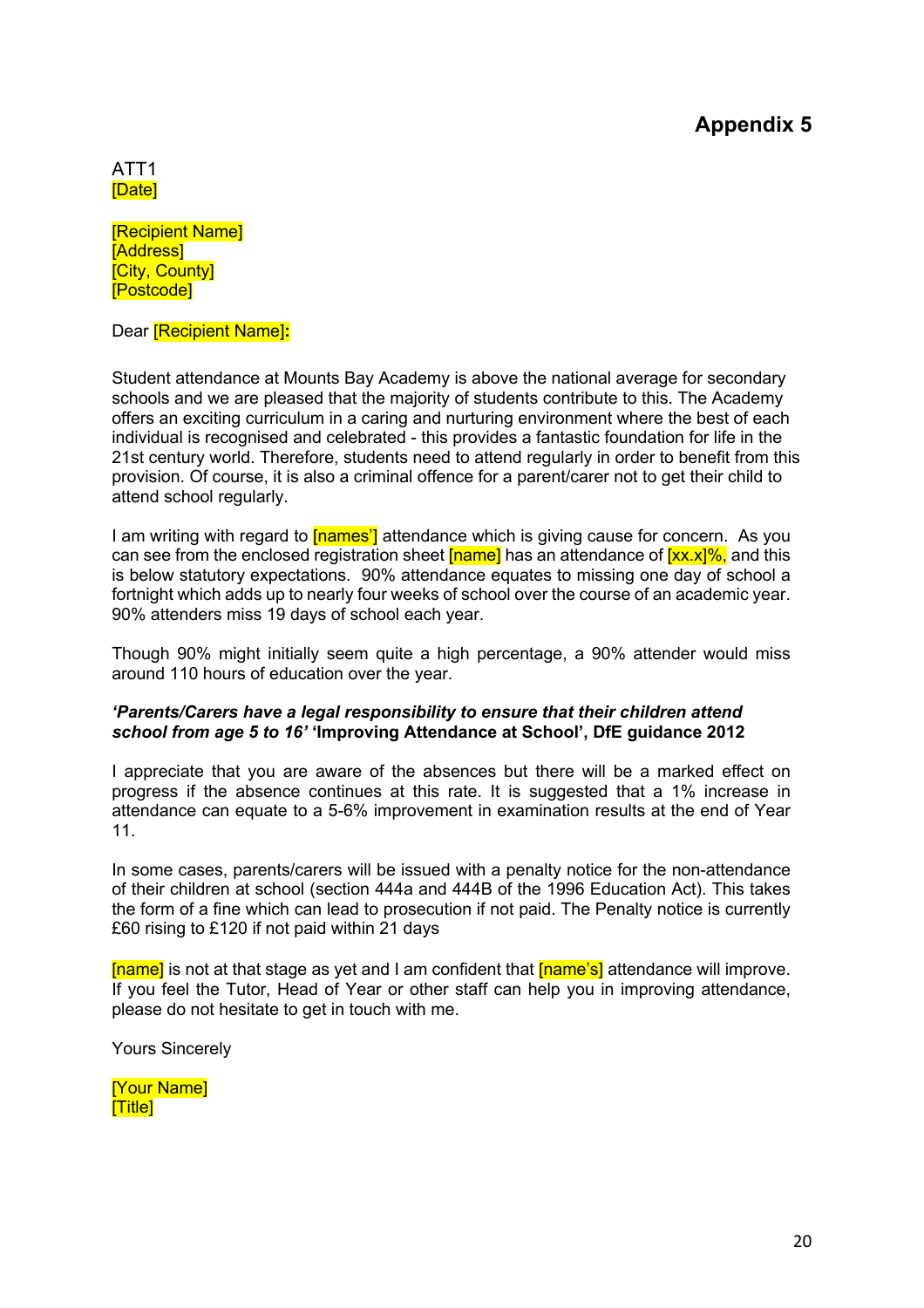#### ATT1 [Date]

[Recipient Name] [Address] [City, County] [Postcode]

Dear [Recipient Name]**:**

Student attendance at Mounts Bay Academy is above the national average for secondary schools and we are pleased that the majority of students contribute to this. The Academy offers an exciting curriculum in a caring and nurturing environment where the best of each individual is recognised and celebrated - this provides a fantastic foundation for life in the 21st century world. Therefore, students need to attend regularly in order to benefit from this provision. Of course, it is also a criminal offence for a parent/carer not to get their child to attend school regularly.

I am writing with regard to **[names]** attendance which is giving cause for concern. As you can see from the enclosed registration sheet  $\lceil$  name  $\rceil$  has an attendance of  $\lceil$ xx.x $\rceil$ %, and this is below statutory expectations. 90% attendance equates to missing one day of school a fortnight which adds up to nearly four weeks of school over the course of an academic year. 90% attenders miss 19 days of school each year.

Though 90% might initially seem quite a high percentage, a 90% attender would miss around 110 hours of education over the year.

#### *'Parents/Carers have a legal responsibility to ensure that their children attend school from age 5 to 16'* **'Improving Attendance at School', DfE guidance 2012**

I appreciate that you are aware of the absences but there will be a marked effect on progress if the absence continues at this rate. It is suggested that a 1% increase in attendance can equate to a 5-6% improvement in examination results at the end of Year 11.

In some cases, parents/carers will be issued with a penalty notice for the non-attendance of their children at school (section 444a and 444B of the 1996 Education Act). This takes the form of a fine which can lead to prosecution if not paid. The Penalty notice is currently £60 rising to £120 if not paid within 21 days

[name] is not at that stage as yet and I am confident that [name's] attendance will improve. If you feel the Tutor, Head of Year or other staff can help you in improving attendance, please do not hesitate to get in touch with me.

Yours Sincerely

[Your Name] [Title]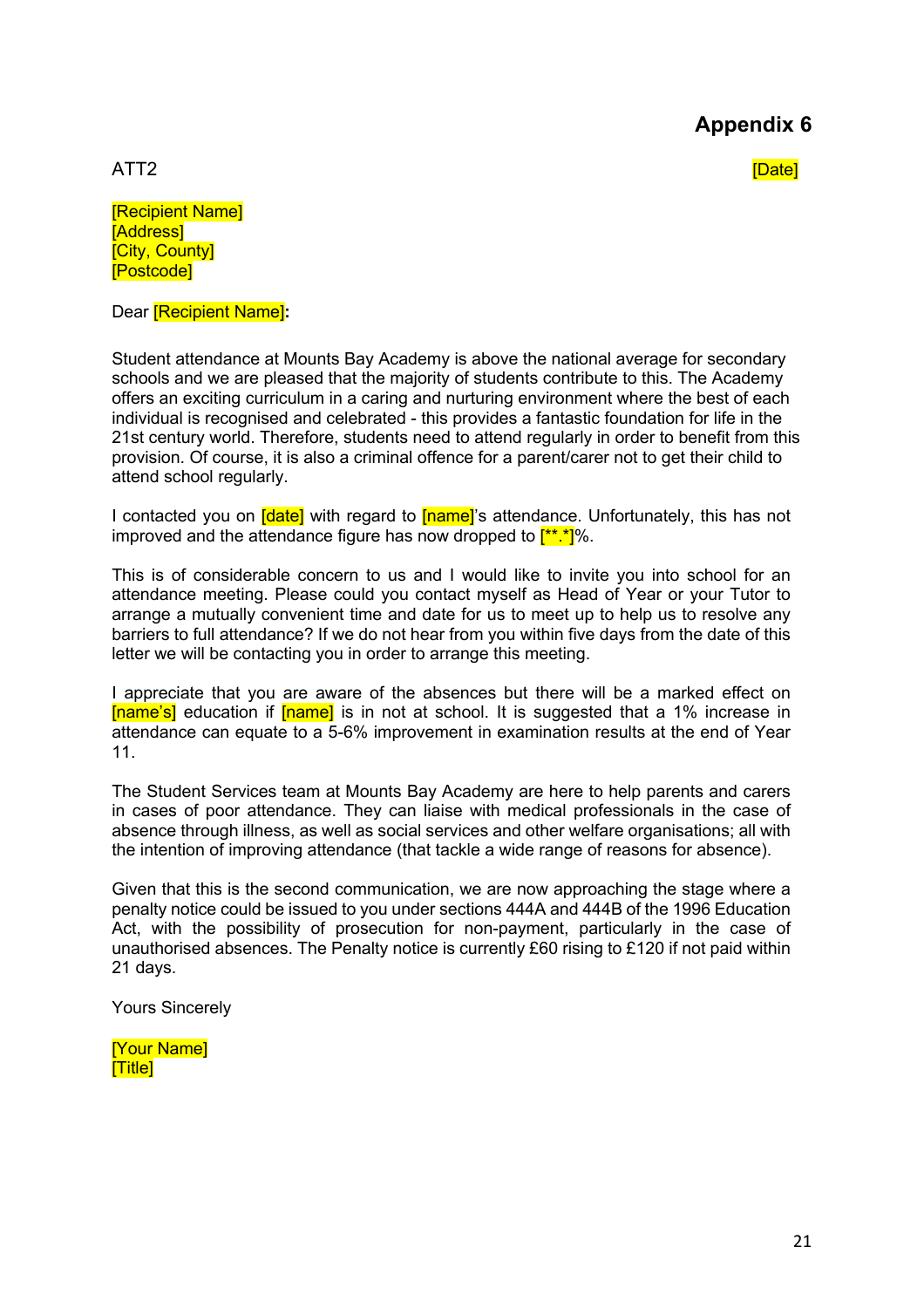ATT2 [Date]

[Recipient Name] **[Address] [City, County]** [Postcode]

Dear [Recipient Name]**:**

Student attendance at Mounts Bay Academy is above the national average for secondary schools and we are pleased that the majority of students contribute to this. The Academy offers an exciting curriculum in a caring and nurturing environment where the best of each individual is recognised and celebrated - this provides a fantastic foundation for life in the 21st century world. Therefore, students need to attend regularly in order to benefit from this provision. Of course, it is also a criminal offence for a parent/carer not to get their child to attend school regularly.

I contacted you on *[date]* with regard to *[name]*'s attendance. Unfortunately, this has not improved and the attendance figure has now dropped to  $\frac{[**.*]}{[%]}$ .

This is of considerable concern to us and I would like to invite you into school for an attendance meeting. Please could you contact myself as Head of Year or your Tutor to arrange a mutually convenient time and date for us to meet up to help us to resolve any barriers to full attendance? If we do not hear from you within five days from the date of this letter we will be contacting you in order to arrange this meeting.

I appreciate that you are aware of the absences but there will be a marked effect on [name's] education if [name] is in not at school. It is suggested that a 1% increase in attendance can equate to a 5-6% improvement in examination results at the end of Year 11.

The Student Services team at Mounts Bay Academy are here to help parents and carers in cases of poor attendance. They can liaise with medical professionals in the case of absence through illness, as well as social services and other welfare organisations; all with the intention of improving attendance (that tackle a wide range of reasons for absence).

Given that this is the second communication, we are now approaching the stage where a penalty notice could be issued to you under sections 444A and 444B of the 1996 Education Act, with the possibility of prosecution for non-payment, particularly in the case of unauthorised absences. The Penalty notice is currently £60 rising to £120 if not paid within 21 days.

Yours Sincerely

[Your Name] **Title1**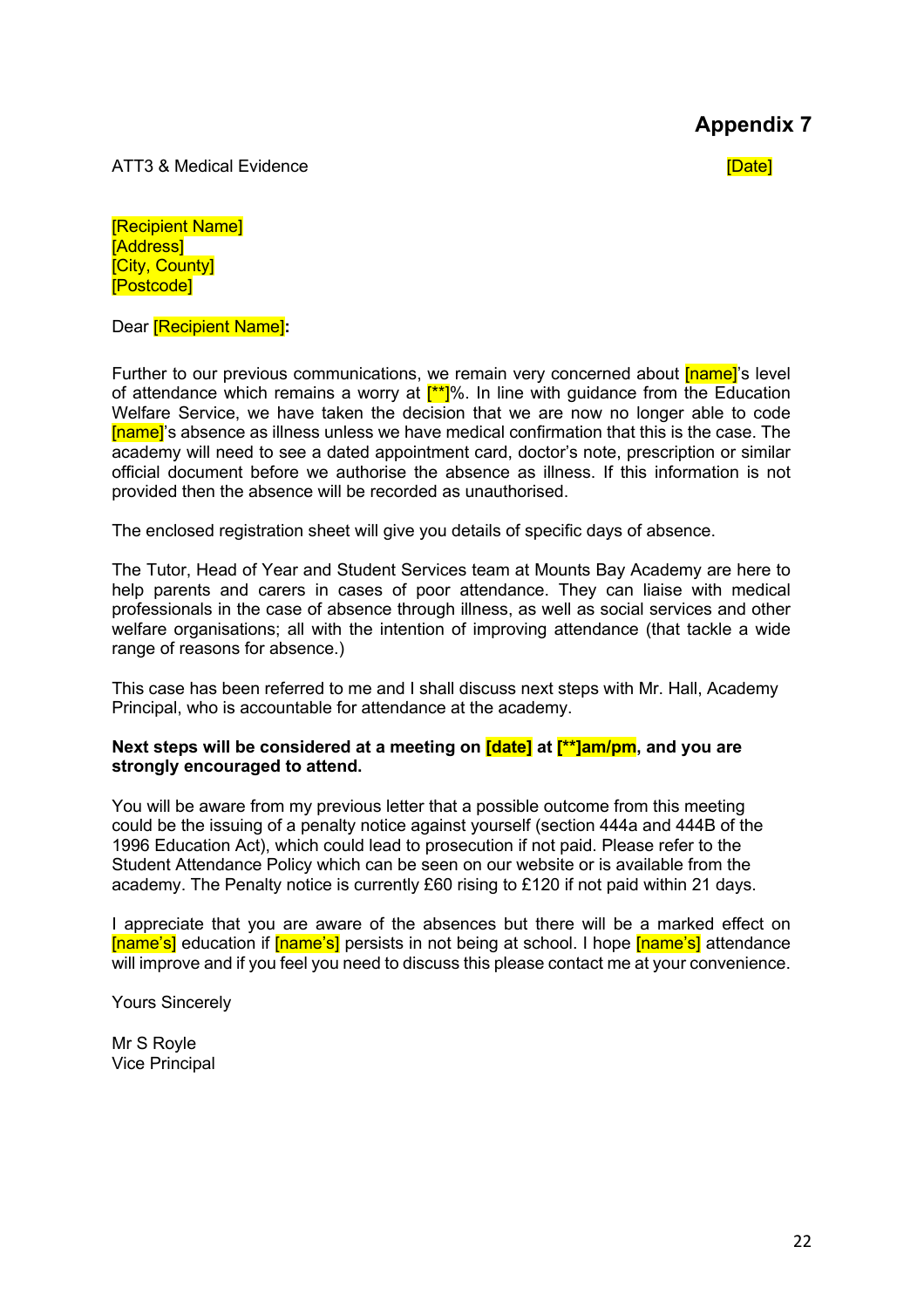ATT3 & Medical Evidence **Example 2008** Control of the Control of the Control of the Control of the Control of the Control of the Control of the Control of the Control of the Control of the Control of the Control of the Con

[Recipient Name] [Address] **[City, County]** [Postcode]

Dear [Recipient Name]**:**

Further to our previous communications, we remain very concerned about **[name]**'s level of attendance which remains a worry at  $[t^*]\%$ . In line with guidance from the Education Welfare Service, we have taken the decision that we are now no longer able to code [name]'s absence as illness unless we have medical confirmation that this is the case. The academy will need to see a dated appointment card, doctor's note, prescription or similar official document before we authorise the absence as illness. If this information is not provided then the absence will be recorded as unauthorised.

The enclosed registration sheet will give you details of specific days of absence.

The Tutor, Head of Year and Student Services team at Mounts Bay Academy are here to help parents and carers in cases of poor attendance. They can liaise with medical professionals in the case of absence through illness, as well as social services and other welfare organisations; all with the intention of improving attendance (that tackle a wide range of reasons for absence.)

This case has been referred to me and I shall discuss next steps with Mr. Hall, Academy Principal, who is accountable for attendance at the academy.

#### **Next steps will be considered at a meeting on [date] at [\*\*]am/pm, and you are strongly encouraged to attend.**

You will be aware from my previous letter that a possible outcome from this meeting could be the issuing of a penalty notice against yourself (section 444a and 444B of the 1996 Education Act), which could lead to prosecution if not paid. Please refer to the Student Attendance Policy which can be seen on our website or is available from the academy. The Penalty notice is currently £60 rising to £120 if not paid within 21 days.

I appreciate that you are aware of the absences but there will be a marked effect on [name's] education if [name's] persists in not being at school. I hope [name's] attendance will improve and if you feel you need to discuss this please contact me at your convenience.

Yours Sincerely

Mr S Royle Vice Principal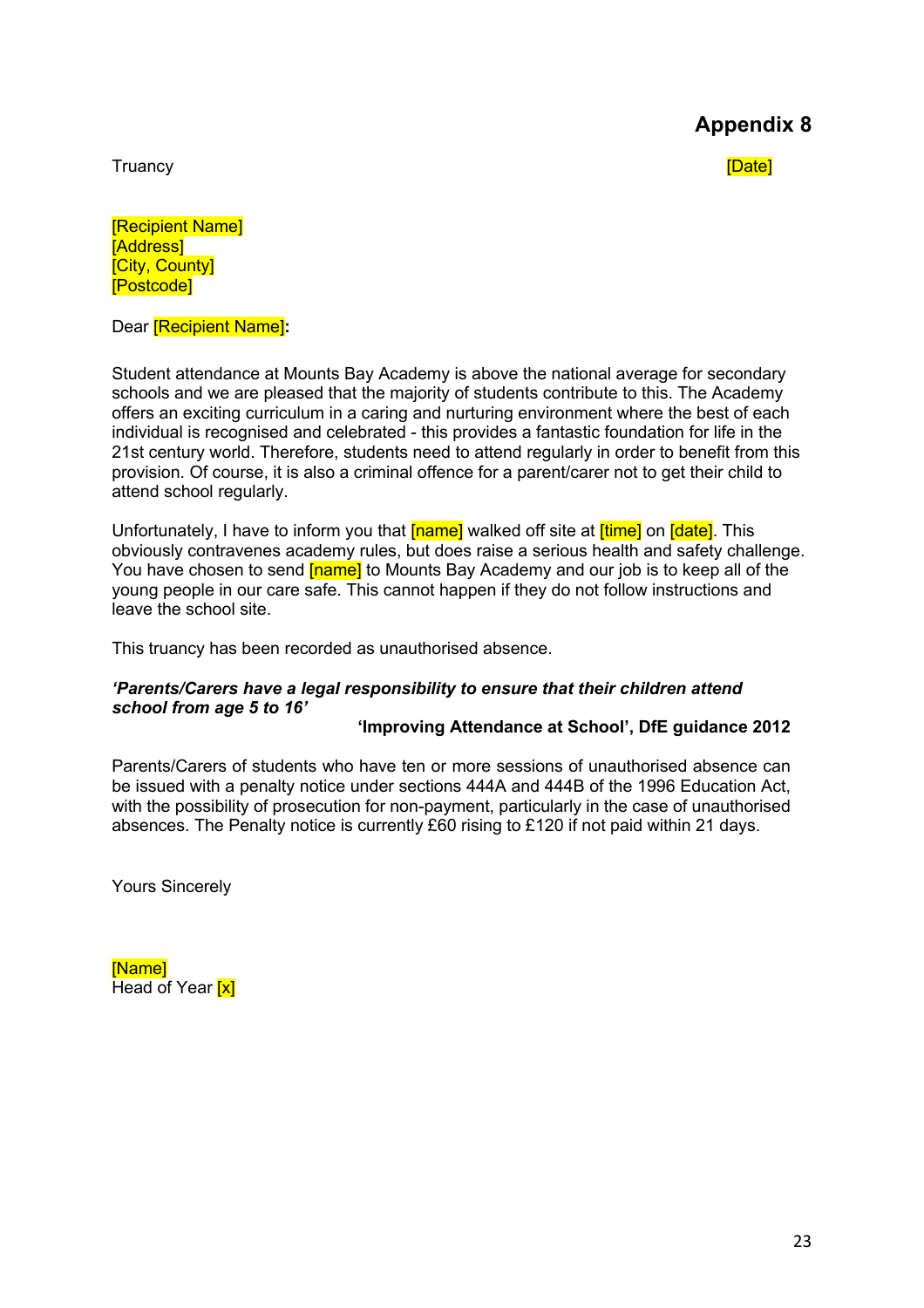Truancy [Date]

[Recipient Name] [Address] **[City, County]** [Postcode]

Dear [Recipient Name]**:**

Student attendance at Mounts Bay Academy is above the national average for secondary schools and we are pleased that the majority of students contribute to this. The Academy offers an exciting curriculum in a caring and nurturing environment where the best of each individual is recognised and celebrated - this provides a fantastic foundation for life in the 21st century world. Therefore, students need to attend regularly in order to benefit from this provision. Of course, it is also a criminal offence for a parent/carer not to get their child to attend school regularly.

Unfortunately, I have to inform you that **[name]** walked off site at **[time]** on **[date]**. This obviously contravenes academy rules, but does raise a serious health and safety challenge. You have chosen to send **[name]** to Mounts Bay Academy and our job is to keep all of the young people in our care safe. This cannot happen if they do not follow instructions and leave the school site.

This truancy has been recorded as unauthorised absence.

#### *'Parents/Carers have a legal responsibility to ensure that their children attend school from age 5 to 16'*

#### **'Improving Attendance at School', DfE guidance 2012**

Parents/Carers of students who have ten or more sessions of unauthorised absence can be issued with a penalty notice under sections 444A and 444B of the 1996 Education Act, with the possibility of prosecution for non-payment, particularly in the case of unauthorised absences. The Penalty notice is currently £60 rising to £120 if not paid within 21 days.

Yours Sincerely

[Name] **Head of Year [x]**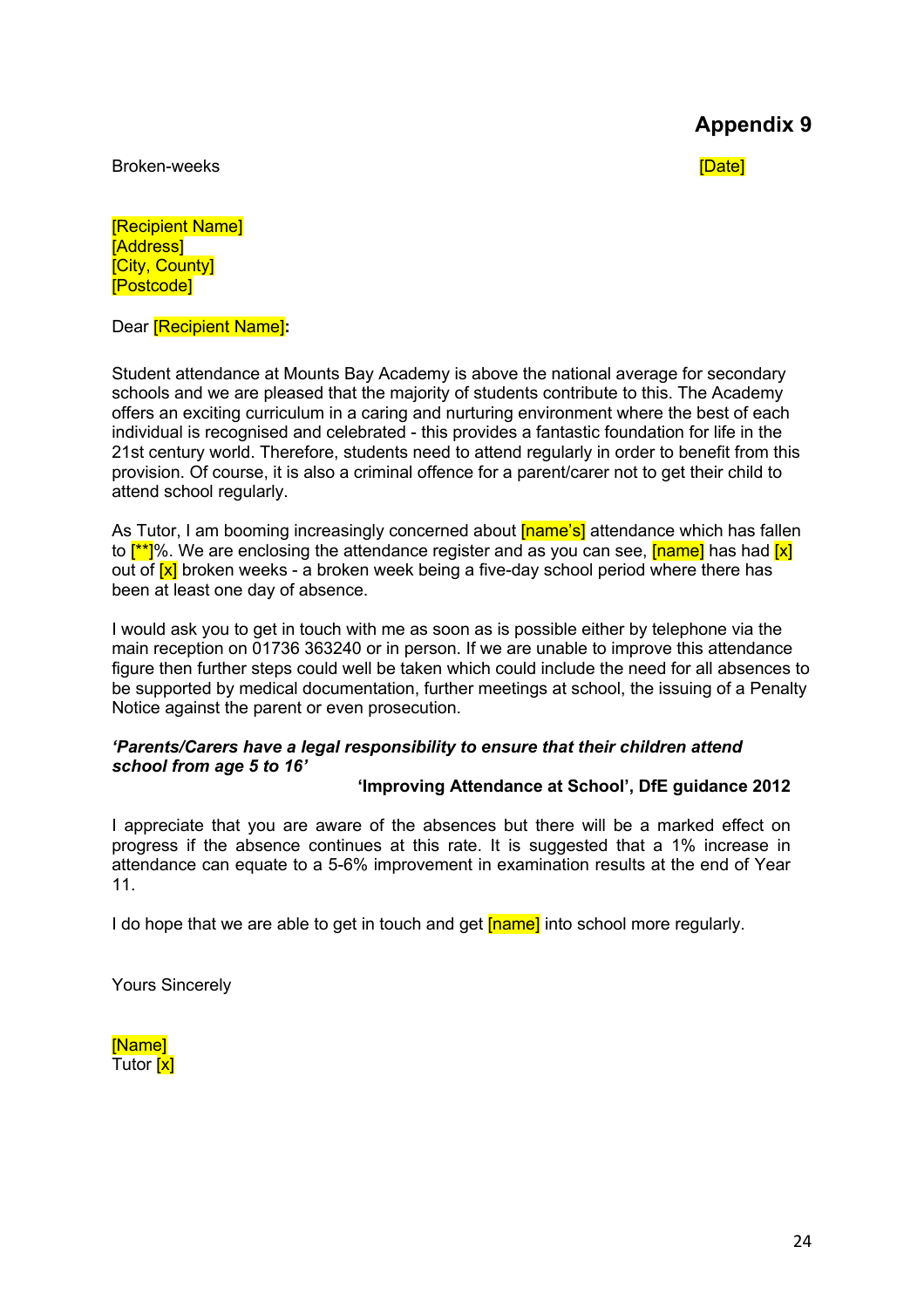Broken-weeks **in the set of the set of the set of the set of the set of the set of the set of the set of the set of the set of the set of the set of the set of the set of the set of the set of the set of the set of the set** 

[Recipient Name] [Address] **[City, County]** [Postcode]

Dear [Recipient Name]**:**

Student attendance at Mounts Bay Academy is above the national average for secondary schools and we are pleased that the majority of students contribute to this. The Academy offers an exciting curriculum in a caring and nurturing environment where the best of each individual is recognised and celebrated - this provides a fantastic foundation for life in the 21st century world. Therefore, students need to attend regularly in order to benefit from this provision. Of course, it is also a criminal offence for a parent/carer not to get their child to attend school regularly.

As Tutor, I am booming increasingly concerned about **[name's]** attendance which has fallen to  $\frac{f^{**}}{s}$ %. We are enclosing the attendance register and as you can see,  $\frac{f^n}{s}$  has had  $\frac{x}{x}$ out of [x] broken weeks - a broken week being a five-day school period where there has been at least one day of absence.

I would ask you to get in touch with me as soon as is possible either by telephone via the main reception on 01736 363240 or in person. If we are unable to improve this attendance figure then further steps could well be taken which could include the need for all absences to be supported by medical documentation, further meetings at school, the issuing of a Penalty Notice against the parent or even prosecution.

#### *'Parents/Carers have a legal responsibility to ensure that their children attend school from age 5 to 16'*

#### **'Improving Attendance at School', DfE guidance 2012**

I appreciate that you are aware of the absences but there will be a marked effect on progress if the absence continues at this rate. It is suggested that a 1% increase in attendance can equate to a 5-6% improvement in examination results at the end of Year 11.

I do hope that we are able to get in touch and get **[name]** into school more regularly.

Yours Sincerely

[Name] Tutor [x]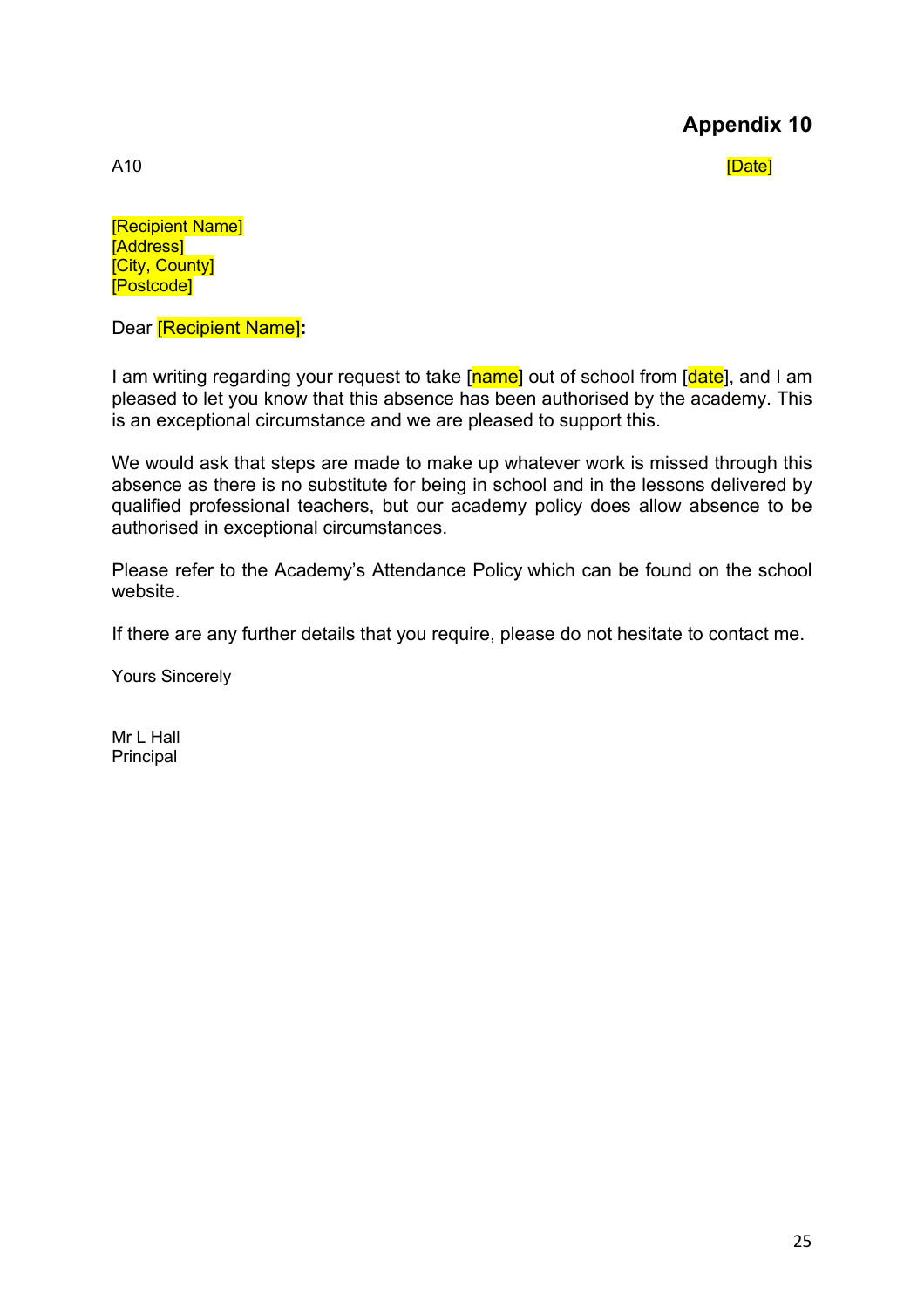A10 [Date]

[Recipient Name] [Address] **[City, County]** [Postcode]

Dear [Recipient Name]**:**

I am writing regarding your request to take [name] out of school from [date], and I am pleased to let you know that this absence has been authorised by the academy. This is an exceptional circumstance and we are pleased to support this.

We would ask that steps are made to make up whatever work is missed through this absence as there is no substitute for being in school and in the lessons delivered by qualified professional teachers, but our academy policy does allow absence to be authorised in exceptional circumstances.

Please refer to the Academy's Attendance Policy which can be found on the school website.

If there are any further details that you require, please do not hesitate to contact me.

Yours Sincerely

Mr L Hall Principal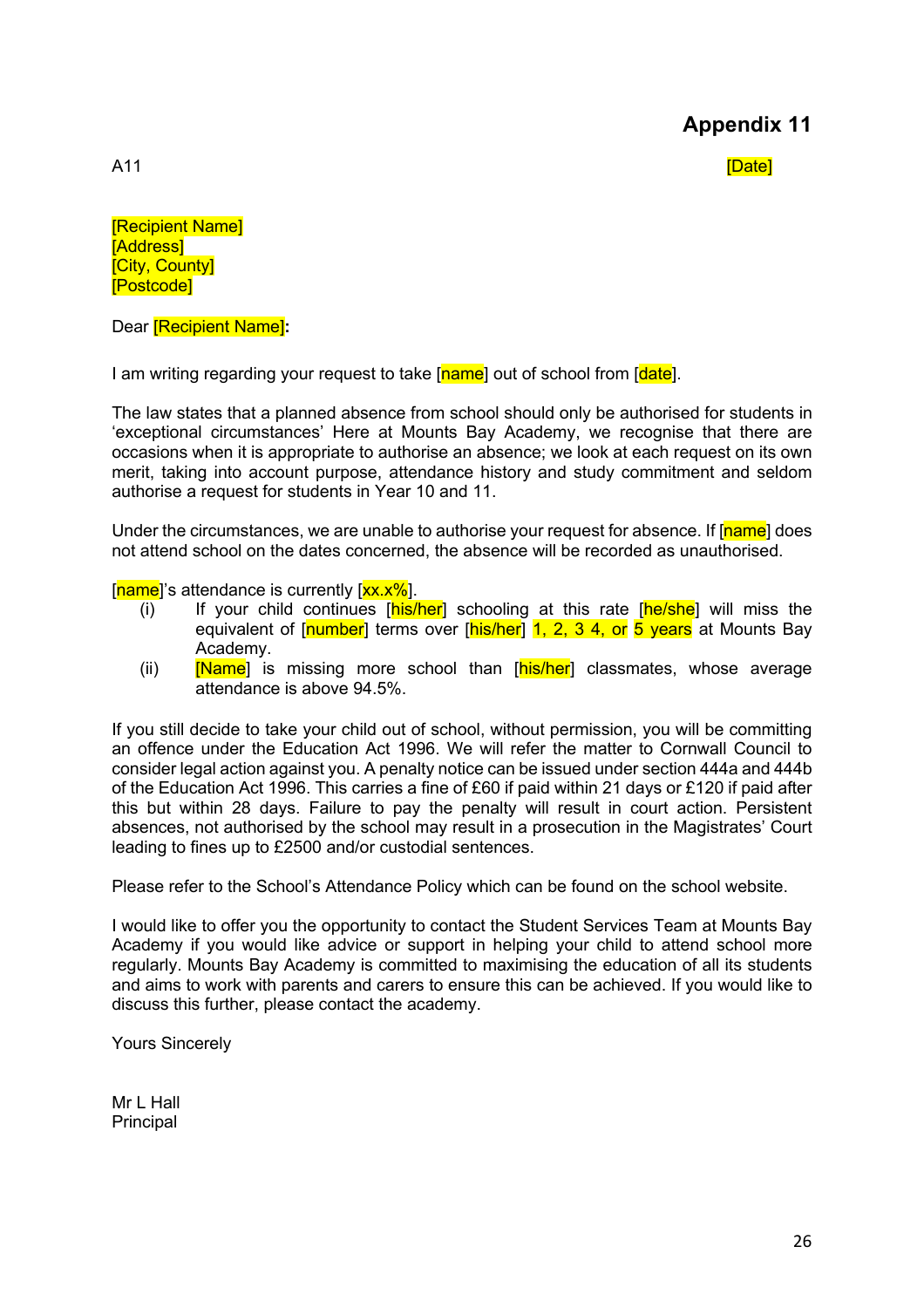A11 [Date]

[Recipient Name] [Address] **[City, County]** [Postcode]

Dear [Recipient Name]**:**

I am writing regarding your request to take [name] out of school from [date].

The law states that a planned absence from school should only be authorised for students in 'exceptional circumstances' Here at Mounts Bay Academy, we recognise that there are occasions when it is appropriate to authorise an absence; we look at each request on its own merit, taking into account purpose, attendance history and study commitment and seldom authorise a request for students in Year 10 and 11.

Under the circumstances, we are unable to authorise your request for absence. If [name] does not attend school on the dates concerned, the absence will be recorded as unauthorised.

 $[name]$ 's attendance is currently  $[xx.x\%]$ .

- $(i)$  If your child continues  $[his/her]$  schooling at this rate  $[he/she]$  will miss the equivalent of [number] terms over [his/her] 1, 2, 3 4, or 5 years at Mounts Bay Academy.
- (ii) [Name] is missing more school than [his/her] classmates, whose average attendance is above 94.5%.

If you still decide to take your child out of school, without permission, you will be committing an offence under the Education Act 1996. We will refer the matter to Cornwall Council to consider legal action against you. A penalty notice can be issued under section 444a and 444b of the Education Act 1996. This carries a fine of £60 if paid within 21 days or £120 if paid after this but within 28 days. Failure to pay the penalty will result in court action. Persistent absences, not authorised by the school may result in a prosecution in the Magistrates' Court leading to fines up to £2500 and/or custodial sentences.

Please refer to the School's Attendance Policy which can be found on the school website.

I would like to offer you the opportunity to contact the Student Services Team at Mounts Bay Academy if you would like advice or support in helping your child to attend school more regularly. Mounts Bay Academy is committed to maximising the education of all its students and aims to work with parents and carers to ensure this can be achieved. If you would like to discuss this further, please contact the academy.

Yours Sincerely

Mr L Hall Principal